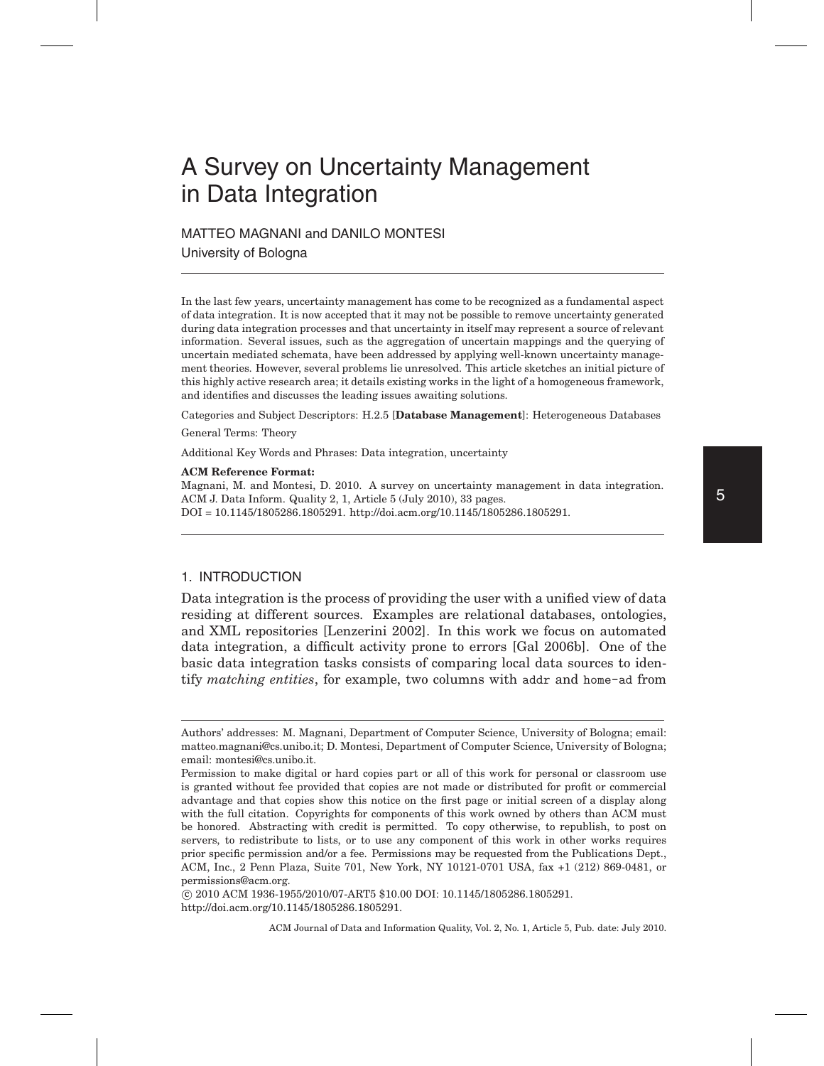# A Survey on Uncertainty Management in Data Integration

# MATTEO MAGNANI and DANILO MONTESI University of Bologna

In the last few years, uncertainty management has come to be recognized as a fundamental aspect of data integration. It is now accepted that it may not be possible to remove uncertainty generated during data integration processes and that uncertainty in itself may represent a source of relevant information. Several issues, such as the aggregation of uncertain mappings and the querying of uncertain mediated schemata, have been addressed by applying well-known uncertainty management theories. However, several problems lie unresolved. This article sketches an initial picture of this highly active research area; it details existing works in the light of a homogeneous framework, and identifies and discusses the leading issues awaiting solutions.

Categories and Subject Descriptors: H.2.5 [**Database Management**]: Heterogeneous Databases

General Terms: Theory

Additional Key Words and Phrases: Data integration, uncertainty

#### **ACM Reference Format:**

Magnani, M. and Montesi, D. 2010. A survey on uncertainty management in data integration. ACM J. Data Inform. Quality 2, 1, Article 5 (July 2010), 33 pages. DOI = 10.1145/1805286.1805291. http://doi.acm.org/10.1145/1805286.1805291.

# 1. INTRODUCTION

Data integration is the process of providing the user with a unified view of data residing at different sources. Examples are relational databases, ontologies, and XML repositories [Lenzerini 2002]. In this work we focus on automated data integration, a difficult activity prone to errors [Gal 2006b]. One of the basic data integration tasks consists of comparing local data sources to identify *matching entities*, for example, two columns with addr and home-ad from

-c 2010 ACM 1936-1955/2010/07-ART5 \$10.00 DOI: 10.1145/1805286.1805291. http://doi.acm.org/10.1145/1805286.1805291.

Authors' addresses: M. Magnani, Department of Computer Science, University of Bologna; email: matteo.magnani@cs.unibo.it; D. Montesi, Department of Computer Science, University of Bologna; email: montesi@cs.unibo.it.

Permission to make digital or hard copies part or all of this work for personal or classroom use is granted without fee provided that copies are not made or distributed for profit or commercial advantage and that copies show this notice on the first page or initial screen of a display along with the full citation. Copyrights for components of this work owned by others than ACM must be honored. Abstracting with credit is permitted. To copy otherwise, to republish, to post on servers, to redistribute to lists, or to use any component of this work in other works requires prior specific permission and/or a fee. Permissions may be requested from the Publications Dept., ACM, Inc., 2 Penn Plaza, Suite 701, New York, NY 10121-0701 USA, fax +1 (212) 869-0481, or permissions@acm.org.

ACM Journal of Data and Information Quality, Vol. 2, No. 1, Article 5, Pub. date: July 2010.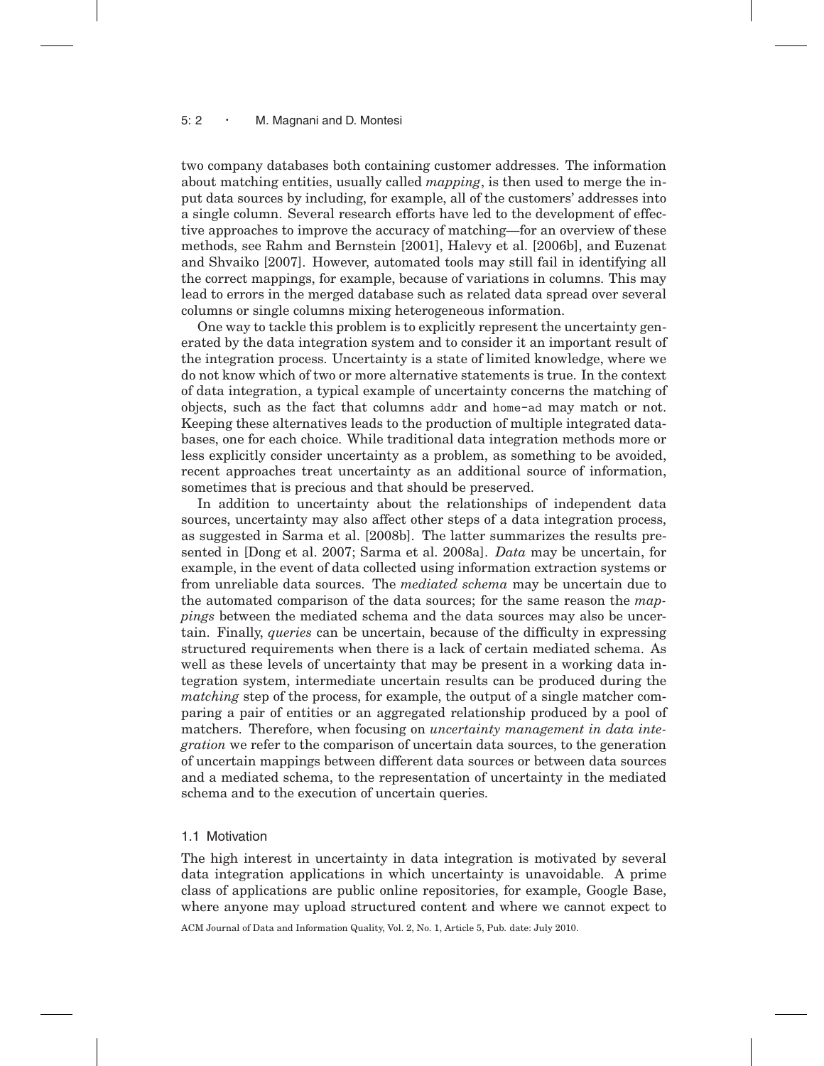#### 5: 2 · M. Magnani and D. Montesi

two company databases both containing customer addresses. The information about matching entities, usually called *mapping*, is then used to merge the input data sources by including, for example, all of the customers' addresses into a single column. Several research efforts have led to the development of effective approaches to improve the accuracy of matching—for an overview of these methods, see Rahm and Bernstein [2001], Halevy et al. [2006b], and Euzenat and Shvaiko [2007]. However, automated tools may still fail in identifying all the correct mappings, for example, because of variations in columns. This may lead to errors in the merged database such as related data spread over several columns or single columns mixing heterogeneous information.

One way to tackle this problem is to explicitly represent the uncertainty generated by the data integration system and to consider it an important result of the integration process. Uncertainty is a state of limited knowledge, where we do not know which of two or more alternative statements is true. In the context of data integration, a typical example of uncertainty concerns the matching of objects, such as the fact that columns addr and home-ad may match or not. Keeping these alternatives leads to the production of multiple integrated databases, one for each choice. While traditional data integration methods more or less explicitly consider uncertainty as a problem, as something to be avoided, recent approaches treat uncertainty as an additional source of information, sometimes that is precious and that should be preserved.

In addition to uncertainty about the relationships of independent data sources, uncertainty may also affect other steps of a data integration process, as suggested in Sarma et al. [2008b]. The latter summarizes the results presented in [Dong et al. 2007; Sarma et al. 2008a]. *Data* may be uncertain, for example, in the event of data collected using information extraction systems or from unreliable data sources. The *mediated schema* may be uncertain due to the automated comparison of the data sources; for the same reason the *mappings* between the mediated schema and the data sources may also be uncertain. Finally, *queries* can be uncertain, because of the difficulty in expressing structured requirements when there is a lack of certain mediated schema. As well as these levels of uncertainty that may be present in a working data integration system, intermediate uncertain results can be produced during the *matching* step of the process, for example, the output of a single matcher comparing a pair of entities or an aggregated relationship produced by a pool of matchers. Therefore, when focusing on *uncertainty management in data integration* we refer to the comparison of uncertain data sources, to the generation of uncertain mappings between different data sources or between data sources and a mediated schema, to the representation of uncertainty in the mediated schema and to the execution of uncertain queries.

# 1.1 Motivation

The high interest in uncertainty in data integration is motivated by several data integration applications in which uncertainty is unavoidable. A prime class of applications are public online repositories, for example, Google Base, where anyone may upload structured content and where we cannot expect to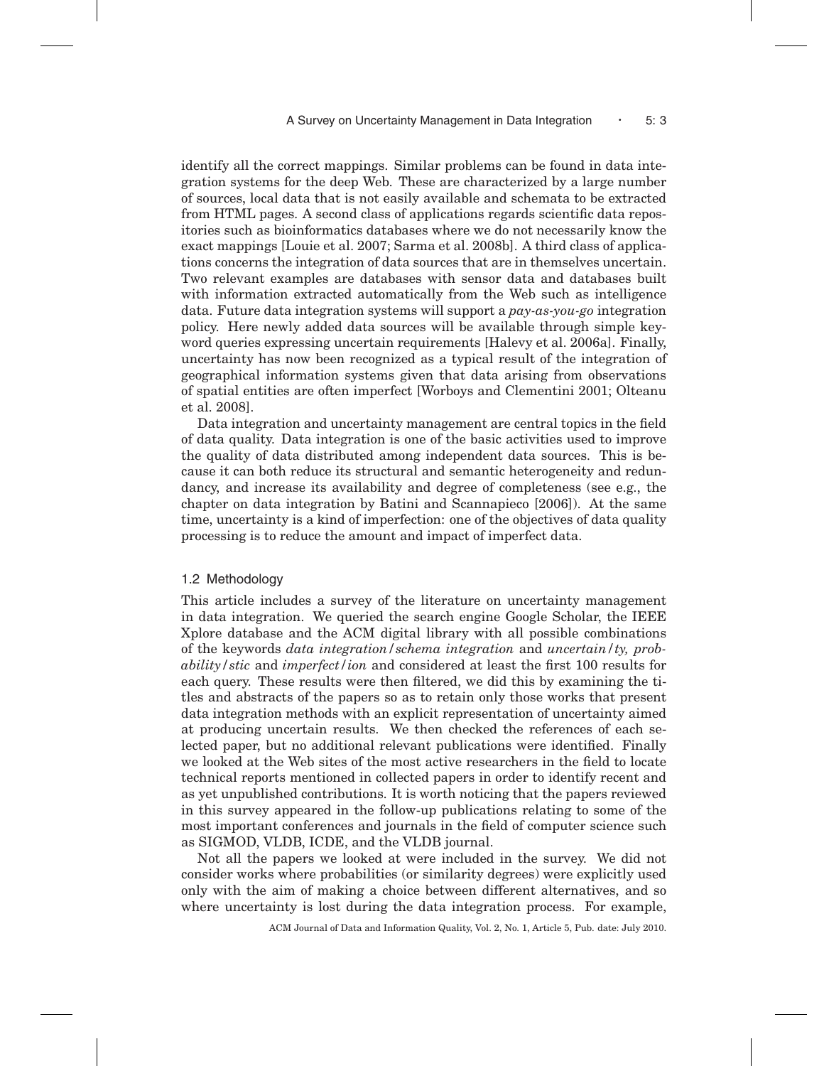identify all the correct mappings. Similar problems can be found in data integration systems for the deep Web. These are characterized by a large number of sources, local data that is not easily available and schemata to be extracted from HTML pages. A second class of applications regards scientific data repositories such as bioinformatics databases where we do not necessarily know the exact mappings [Louie et al. 2007; Sarma et al. 2008b]. A third class of applications concerns the integration of data sources that are in themselves uncertain. Two relevant examples are databases with sensor data and databases built with information extracted automatically from the Web such as intelligence data. Future data integration systems will support a *pay-as-you-go* integration policy. Here newly added data sources will be available through simple keyword queries expressing uncertain requirements [Halevy et al. 2006a]. Finally, uncertainty has now been recognized as a typical result of the integration of geographical information systems given that data arising from observations of spatial entities are often imperfect [Worboys and Clementini 2001; Olteanu et al. 2008].

Data integration and uncertainty management are central topics in the field of data quality. Data integration is one of the basic activities used to improve the quality of data distributed among independent data sources. This is because it can both reduce its structural and semantic heterogeneity and redundancy, and increase its availability and degree of completeness (see e.g., the chapter on data integration by Batini and Scannapieco [2006]). At the same time, uncertainty is a kind of imperfection: one of the objectives of data quality processing is to reduce the amount and impact of imperfect data.

# 1.2 Methodology

This article includes a survey of the literature on uncertainty management in data integration. We queried the search engine Google Scholar, the IEEE Xplore database and the ACM digital library with all possible combinations of the keywords *data integration/schema integration* and *uncertain/ty, probability/stic* and *imperfect/ion* and considered at least the first 100 results for each query. These results were then filtered, we did this by examining the titles and abstracts of the papers so as to retain only those works that present data integration methods with an explicit representation of uncertainty aimed at producing uncertain results. We then checked the references of each selected paper, but no additional relevant publications were identified. Finally we looked at the Web sites of the most active researchers in the field to locate technical reports mentioned in collected papers in order to identify recent and as yet unpublished contributions. It is worth noticing that the papers reviewed in this survey appeared in the follow-up publications relating to some of the most important conferences and journals in the field of computer science such as SIGMOD, VLDB, ICDE, and the VLDB journal.

Not all the papers we looked at were included in the survey. We did not consider works where probabilities (or similarity degrees) were explicitly used only with the aim of making a choice between different alternatives, and so where uncertainty is lost during the data integration process. For example,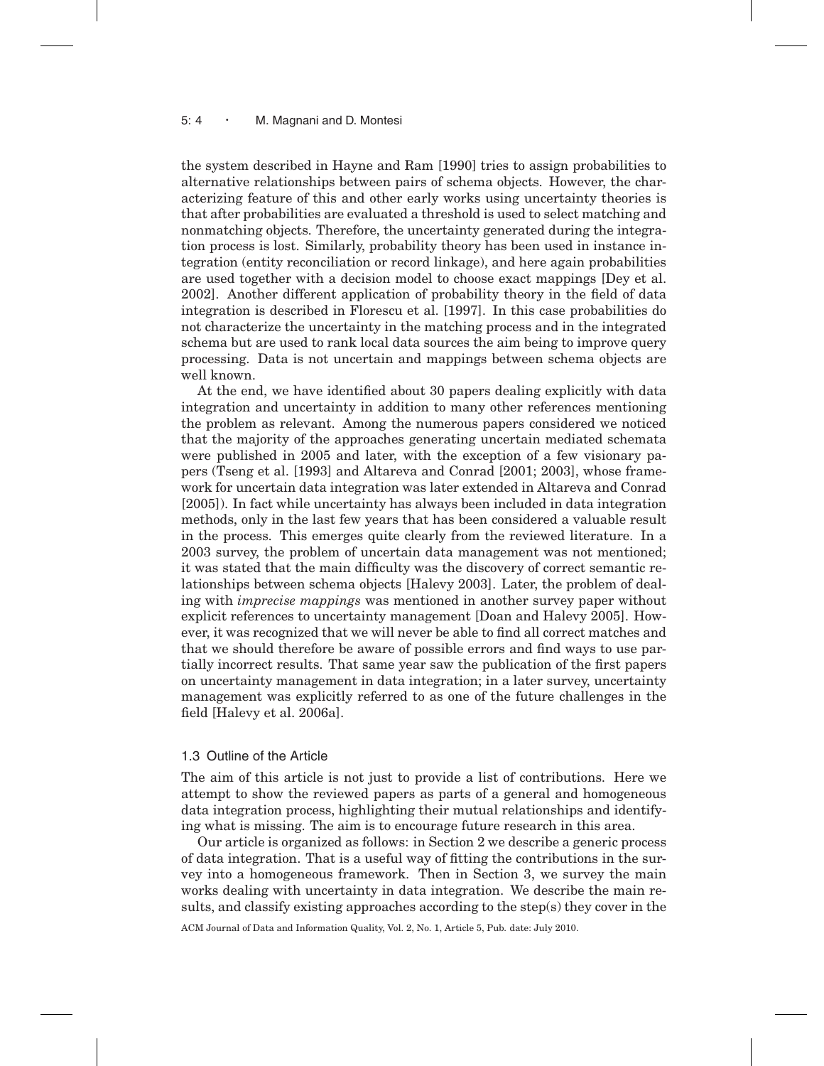# 5: 4 · M. Magnani and D. Montesi

the system described in Hayne and Ram [1990] tries to assign probabilities to alternative relationships between pairs of schema objects. However, the characterizing feature of this and other early works using uncertainty theories is that after probabilities are evaluated a threshold is used to select matching and nonmatching objects. Therefore, the uncertainty generated during the integration process is lost. Similarly, probability theory has been used in instance integration (entity reconciliation or record linkage), and here again probabilities are used together with a decision model to choose exact mappings [Dey et al. 2002]. Another different application of probability theory in the field of data integration is described in Florescu et al. [1997]. In this case probabilities do not characterize the uncertainty in the matching process and in the integrated schema but are used to rank local data sources the aim being to improve query processing. Data is not uncertain and mappings between schema objects are well known.

At the end, we have identified about 30 papers dealing explicitly with data integration and uncertainty in addition to many other references mentioning the problem as relevant. Among the numerous papers considered we noticed that the majority of the approaches generating uncertain mediated schemata were published in 2005 and later, with the exception of a few visionary papers (Tseng et al. [1993] and Altareva and Conrad [2001; 2003], whose framework for uncertain data integration was later extended in Altareva and Conrad [2005]). In fact while uncertainty has always been included in data integration methods, only in the last few years that has been considered a valuable result in the process. This emerges quite clearly from the reviewed literature. In a 2003 survey, the problem of uncertain data management was not mentioned; it was stated that the main difficulty was the discovery of correct semantic relationships between schema objects [Halevy 2003]. Later, the problem of dealing with *imprecise mappings* was mentioned in another survey paper without explicit references to uncertainty management [Doan and Halevy 2005]. However, it was recognized that we will never be able to find all correct matches and that we should therefore be aware of possible errors and find ways to use partially incorrect results. That same year saw the publication of the first papers on uncertainty management in data integration; in a later survey, uncertainty management was explicitly referred to as one of the future challenges in the field [Halevy et al. 2006a].

## 1.3 Outline of the Article

The aim of this article is not just to provide a list of contributions. Here we attempt to show the reviewed papers as parts of a general and homogeneous data integration process, highlighting their mutual relationships and identifying what is missing. The aim is to encourage future research in this area.

Our article is organized as follows: in Section 2 we describe a generic process of data integration. That is a useful way of fitting the contributions in the survey into a homogeneous framework. Then in Section 3, we survey the main works dealing with uncertainty in data integration. We describe the main results, and classify existing approaches according to the step(s) they cover in the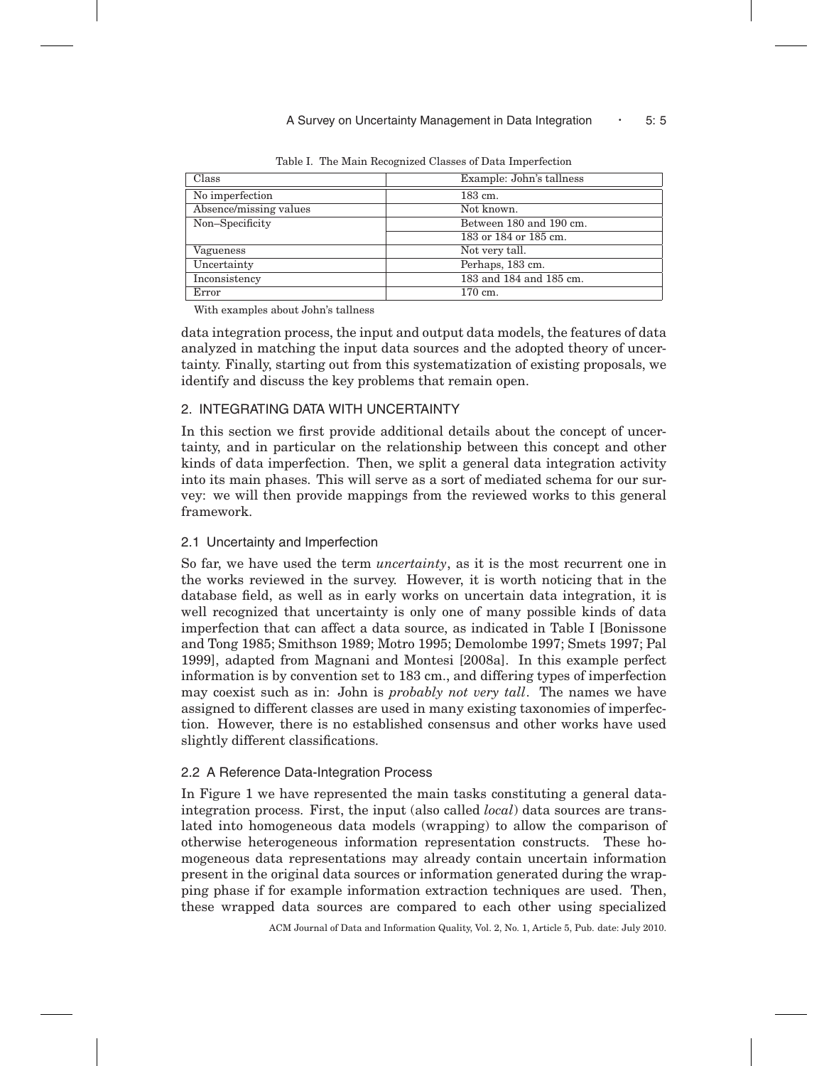# A Survey on Uncertainty Management in Data Integration • 5: 5

| Class                  | Example: John's tallness |
|------------------------|--------------------------|
| No imperfection        | 183 cm.                  |
| Absence/missing values | Not known.               |
| Non-Specificity        | Between 180 and 190 cm.  |
|                        | 183 or 184 or 185 cm.    |
| Vagueness              | Not very tall.           |
| Uncertainty            | Perhaps, 183 cm.         |
| Inconsistency          | 183 and 184 and 185 cm.  |
| Error                  | 170 cm.                  |

Table I. The Main Recognized Classes of Data Imperfection

With examples about John's tallness

data integration process, the input and output data models, the features of data analyzed in matching the input data sources and the adopted theory of uncertainty. Finally, starting out from this systematization of existing proposals, we identify and discuss the key problems that remain open.

# 2. INTEGRATING DATA WITH UNCERTAINTY

In this section we first provide additional details about the concept of uncertainty, and in particular on the relationship between this concept and other kinds of data imperfection. Then, we split a general data integration activity into its main phases. This will serve as a sort of mediated schema for our survey: we will then provide mappings from the reviewed works to this general framework.

# 2.1 Uncertainty and Imperfection

So far, we have used the term *uncertainty*, as it is the most recurrent one in the works reviewed in the survey. However, it is worth noticing that in the database field, as well as in early works on uncertain data integration, it is well recognized that uncertainty is only one of many possible kinds of data imperfection that can affect a data source, as indicated in Table I [Bonissone and Tong 1985; Smithson 1989; Motro 1995; Demolombe 1997; Smets 1997; Pal 1999], adapted from Magnani and Montesi [2008a]. In this example perfect information is by convention set to 183 cm., and differing types of imperfection may coexist such as in: John is *probably not very tall*. The names we have assigned to different classes are used in many existing taxonomies of imperfection. However, there is no established consensus and other works have used slightly different classifications.

# 2.2 A Reference Data-Integration Process

In Figure 1 we have represented the main tasks constituting a general dataintegration process. First, the input (also called *local*) data sources are translated into homogeneous data models (wrapping) to allow the comparison of otherwise heterogeneous information representation constructs. These homogeneous data representations may already contain uncertain information present in the original data sources or information generated during the wrapping phase if for example information extraction techniques are used. Then, these wrapped data sources are compared to each other using specialized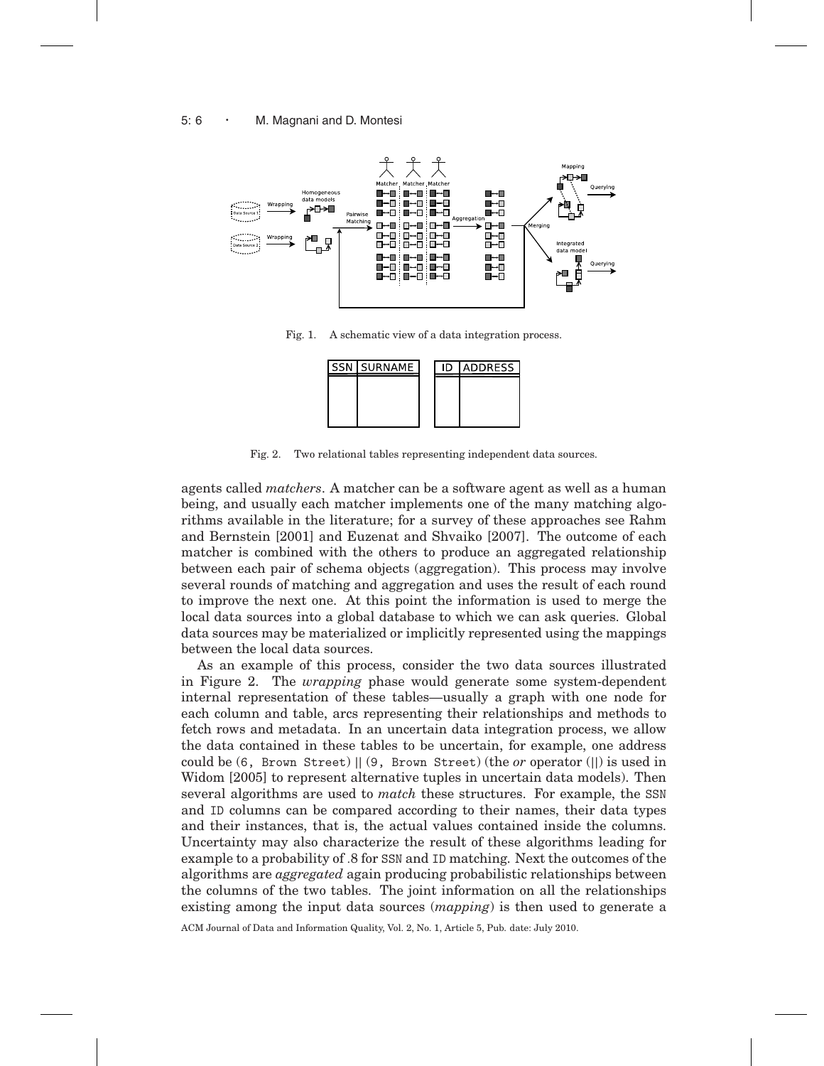# 5: 6 · M. Magnani and D. Montesi



Fig. 1. A schematic view of a data integration process.



Fig. 2. Two relational tables representing independent data sources.

agents called *matchers*. A matcher can be a software agent as well as a human being, and usually each matcher implements one of the many matching algorithms available in the literature; for a survey of these approaches see Rahm and Bernstein [2001] and Euzenat and Shvaiko [2007]. The outcome of each matcher is combined with the others to produce an aggregated relationship between each pair of schema objects (aggregation). This process may involve several rounds of matching and aggregation and uses the result of each round to improve the next one. At this point the information is used to merge the local data sources into a global database to which we can ask queries. Global data sources may be materialized or implicitly represented using the mappings between the local data sources.

As an example of this process, consider the two data sources illustrated in Figure 2. The *wrapping* phase would generate some system-dependent internal representation of these tables—usually a graph with one node for each column and table, arcs representing their relationships and methods to fetch rows and metadata. In an uncertain data integration process, we allow the data contained in these tables to be uncertain, for example, one address could be (6, Brown Street) || (9, Brown Street) (the *or* operator (||) is used in Widom [2005] to represent alternative tuples in uncertain data models). Then several algorithms are used to *match* these structures. For example, the SSN and ID columns can be compared according to their names, their data types and their instances, that is, the actual values contained inside the columns. Uncertainty may also characterize the result of these algorithms leading for example to a probability of .8 for SSN and ID matching. Next the outcomes of the algorithms are *aggregated* again producing probabilistic relationships between the columns of the two tables. The joint information on all the relationships existing among the input data sources (*mapping*) is then used to generate a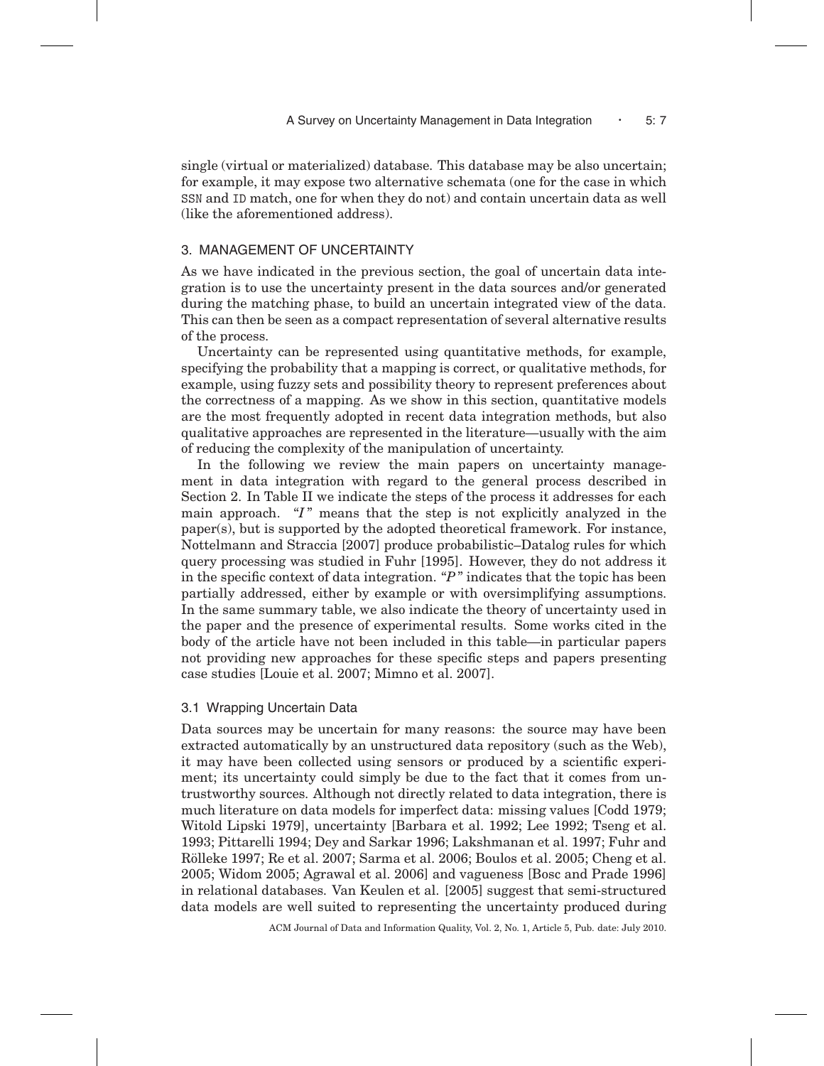single (virtual or materialized) database. This database may be also uncertain; for example, it may expose two alternative schemata (one for the case in which SSN and ID match, one for when they do not) and contain uncertain data as well (like the aforementioned address).

# 3. MANAGEMENT OF UNCERTAINTY

As we have indicated in the previous section, the goal of uncertain data integration is to use the uncertainty present in the data sources and/or generated during the matching phase, to build an uncertain integrated view of the data. This can then be seen as a compact representation of several alternative results of the process.

Uncertainty can be represented using quantitative methods, for example, specifying the probability that a mapping is correct, or qualitative methods, for example, using fuzzy sets and possibility theory to represent preferences about the correctness of a mapping. As we show in this section, quantitative models are the most frequently adopted in recent data integration methods, but also qualitative approaches are represented in the literature—usually with the aim of reducing the complexity of the manipulation of uncertainty.

In the following we review the main papers on uncertainty management in data integration with regard to the general process described in Section 2. In Table II we indicate the steps of the process it addresses for each main approach. "*I* " means that the step is not explicitly analyzed in the paper(s), but is supported by the adopted theoretical framework. For instance, Nottelmann and Straccia [2007] produce probabilistic–Datalog rules for which query processing was studied in Fuhr [1995]. However, they do not address it in the specific context of data integration. "P" indicates that the topic has been partially addressed, either by example or with oversimplifying assumptions. In the same summary table, we also indicate the theory of uncertainty used in the paper and the presence of experimental results. Some works cited in the body of the article have not been included in this table—in particular papers not providing new approaches for these specific steps and papers presenting case studies [Louie et al. 2007; Mimno et al. 2007].

## 3.1 Wrapping Uncertain Data

Data sources may be uncertain for many reasons: the source may have been extracted automatically by an unstructured data repository (such as the Web), it may have been collected using sensors or produced by a scientific experiment; its uncertainty could simply be due to the fact that it comes from untrustworthy sources. Although not directly related to data integration, there is much literature on data models for imperfect data: missing values [Codd 1979; Witold Lipski 1979], uncertainty [Barbara et al. 1992; Lee 1992; Tseng et al. 1993; Pittarelli 1994; Dey and Sarkar 1996; Lakshmanan et al. 1997; Fuhr and Rölleke 1997; Re et al. 2007; Sarma et al. 2006; Boulos et al. 2005; Cheng et al. 2005; Widom 2005; Agrawal et al. 2006] and vagueness [Bosc and Prade 1996] in relational databases. Van Keulen et al. [2005] suggest that semi-structured data models are well suited to representing the uncertainty produced during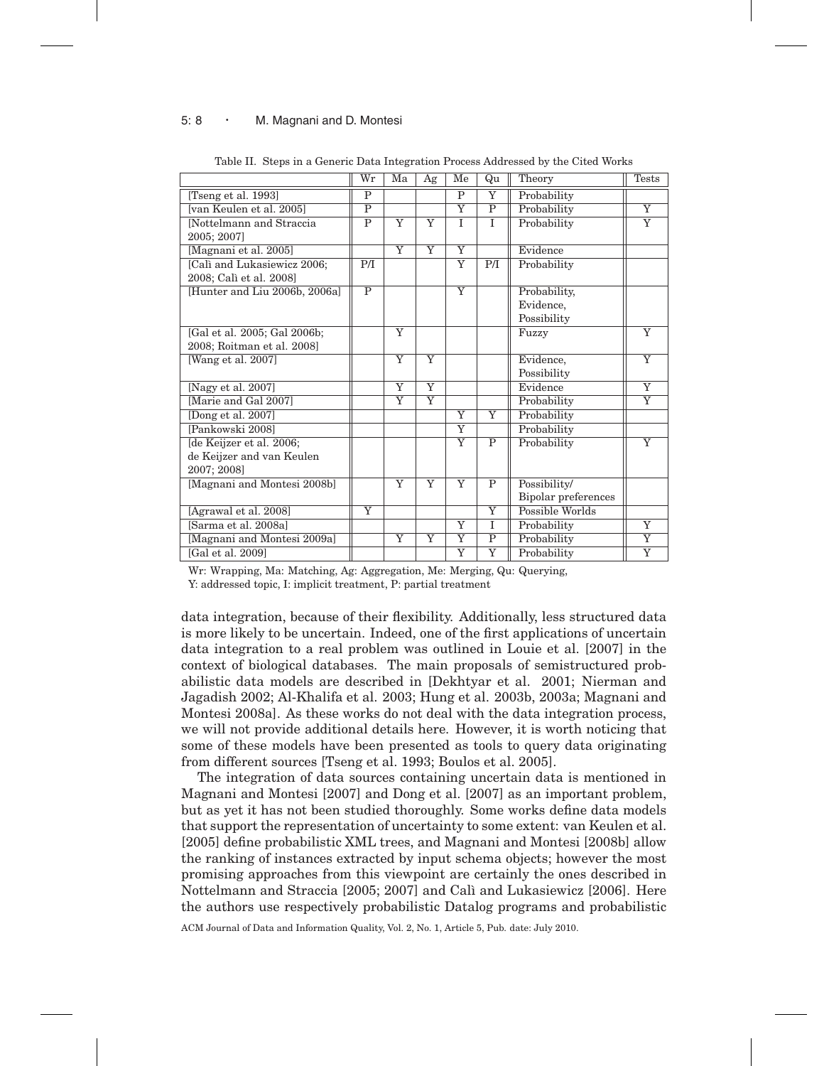# 5: 8 · M. Magnani and D. Montesi

|                               | $\operatorname{Wr}$     | Ma                      | Ag                      | Me                      | Qu                      | Theory              | <b>Tests</b>            |
|-------------------------------|-------------------------|-------------------------|-------------------------|-------------------------|-------------------------|---------------------|-------------------------|
| [Tseng et al. 1993]           | $\overline{P}$          |                         |                         | $\overline{P}$          | $\overline{\mathrm{Y}}$ | Probability         |                         |
| [van Keulen et al. 2005]      | $\overline{P}$          |                         |                         | $\overline{\text{Y}}$   | $\overline{P}$          | Probability         | $\overline{\mathrm{Y}}$ |
| [Nottelmann and Straccia]     | $\mathbf{P}$            | Y                       | Y                       | T                       | T                       | Probability         | $\overline{Y}$          |
| 2005; 2007]                   |                         |                         |                         |                         |                         |                     |                         |
| [Magnani et al. 2005]         |                         | $\overline{Y}$          | $\overline{Y}$          | $\overline{\text{Y}}$   |                         | Evidence            |                         |
| [Calì and Lukasiewicz 2006;   | P/I                     |                         |                         | $\overline{\text{Y}}$   | P/I                     | Probability         |                         |
| 2008; Calì et al. 2008]       |                         |                         |                         |                         |                         |                     |                         |
| [Hunter and Liu 2006b, 2006a] | $\overline{P}$          |                         |                         | $\overline{Y}$          |                         | Probability,        |                         |
|                               |                         |                         |                         |                         |                         | Evidence,           |                         |
|                               |                         |                         |                         |                         |                         | Possibility         |                         |
| [Gal et al. 2005; Gal 2006b;  |                         | $\overline{\mathrm{Y}}$ |                         |                         |                         | Fuzzy               | $\overline{\mathrm{Y}}$ |
| 2008; Roitman et al. 2008]    |                         |                         |                         |                         |                         |                     |                         |
| [Wang et al. 2007]            |                         | $\overline{Y}$          | $\overline{\mathbf{Y}}$ |                         |                         | Evidence,           | $\overline{Y}$          |
|                               |                         |                         |                         |                         |                         | Possibility         |                         |
| [Nagy et al. 2007]            |                         | $\overline{Y}$          | $\overline{Y}$          |                         |                         | Evidence            | $\overline{Y}$          |
| [Marie and Gal 2007]          |                         | $\overline{\text{Y}}$   | $\overline{\text{Y}}$   |                         |                         | Probability         | $\overline{\mathrm{Y}}$ |
| [Dong et al. 2007]            |                         |                         |                         | $\overline{\mathsf{Y}}$ | $\overline{Y}$          | Probability         |                         |
| [Pankowski 2008]              |                         |                         |                         | $\overline{\mathbf{Y}}$ |                         | Probability         |                         |
| [de Keijzer et al. 2006;      |                         |                         |                         | $\overline{\text{Y}}$   | $\overline{P}$          | Probability         | $\overline{\mathrm{Y}}$ |
| de Keijzer and van Keulen     |                         |                         |                         |                         |                         |                     |                         |
| 2007; 2008]                   |                         |                         |                         |                         |                         |                     |                         |
| [Magnani and Montesi 2008b]   |                         | $\overline{Y}$          | $\overline{Y}$          | $\overline{\text{Y}}$   | $\overline{P}$          | Possibility/        |                         |
|                               |                         |                         |                         |                         |                         | Bipolar preferences |                         |
| [Agrawal et al. 2008]         | $\overline{\mathrm{Y}}$ |                         |                         |                         | $\overline{\text{Y}}$   | Possible Worlds     |                         |
| [Sarma et al. 2008a]          |                         |                         |                         | $\overline{Y}$          | T                       | Probability         | $\overline{Y}$          |
| [Magnani and Montesi 2009a]   |                         | $\overline{Y}$          | Y                       | Y                       | $\mathbf P$             | Probability         | $\overline{\text{Y}}$   |
| [Gal et al. 2009]             |                         |                         |                         | $\overline{\text{Y}}$   | $\overline{\mathrm{Y}}$ | Probability         | $\overline{\mathrm{Y}}$ |

Table II. Steps in a Generic Data Integration Process Addressed by the Cited Works

Wr: Wrapping, Ma: Matching, Ag: Aggregation, Me: Merging, Qu: Querying,

Y: addressed topic, I: implicit treatment, P: partial treatment

data integration, because of their flexibility. Additionally, less structured data is more likely to be uncertain. Indeed, one of the first applications of uncertain data integration to a real problem was outlined in Louie et al. [2007] in the context of biological databases. The main proposals of semistructured probabilistic data models are described in [Dekhtyar et al. 2001; Nierman and Jagadish 2002; Al-Khalifa et al. 2003; Hung et al. 2003b, 2003a; Magnani and Montesi 2008a]. As these works do not deal with the data integration process, we will not provide additional details here. However, it is worth noticing that some of these models have been presented as tools to query data originating from different sources [Tseng et al. 1993; Boulos et al. 2005].

The integration of data sources containing uncertain data is mentioned in Magnani and Montesi [2007] and Dong et al. [2007] as an important problem, but as yet it has not been studied thoroughly. Some works define data models that support the representation of uncertainty to some extent: van Keulen et al. [2005] define probabilistic XML trees, and Magnani and Montesi [2008b] allow the ranking of instances extracted by input schema objects; however the most promising approaches from this viewpoint are certainly the ones described in Nottelmann and Straccia [2005; 2007] and Cali and Lukasiewicz [2006]. Here the authors use respectively probabilistic Datalog programs and probabilistic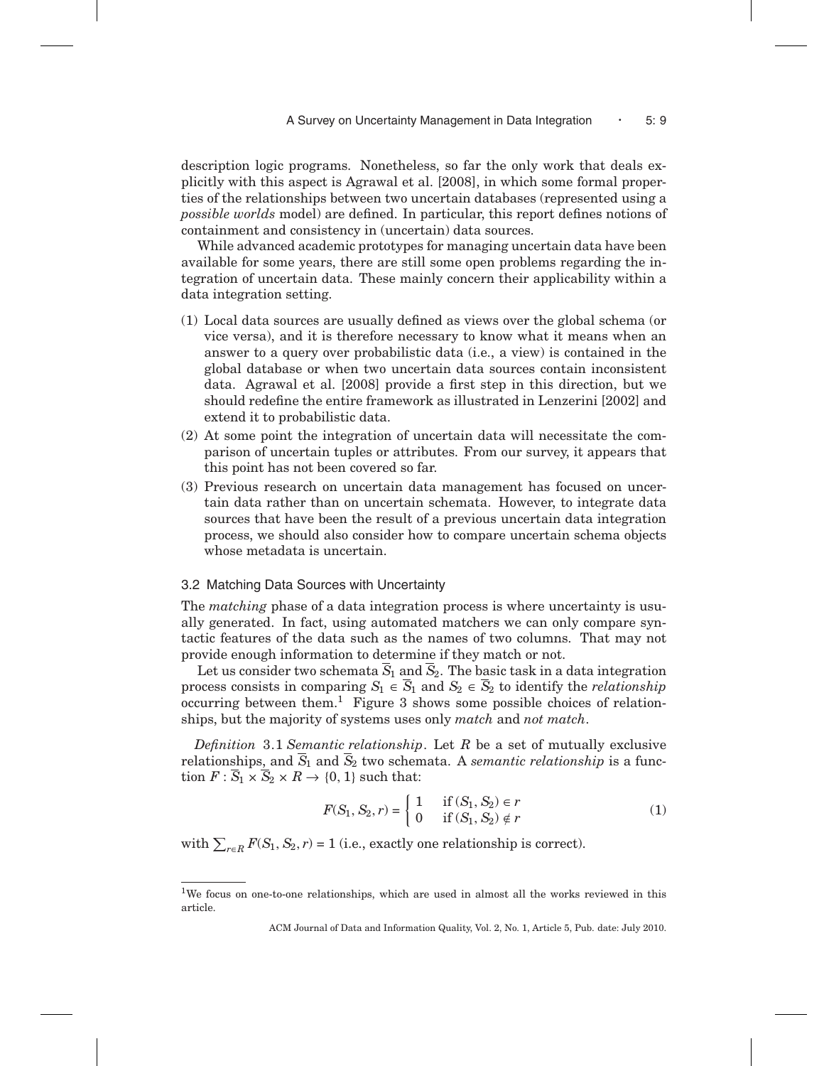description logic programs. Nonetheless, so far the only work that deals explicitly with this aspect is Agrawal et al. [2008], in which some formal properties of the relationships between two uncertain databases (represented using a *possible worlds* model) are defined. In particular, this report defines notions of containment and consistency in (uncertain) data sources.

While advanced academic prototypes for managing uncertain data have been available for some years, there are still some open problems regarding the integration of uncertain data. These mainly concern their applicability within a data integration setting.

- (1) Local data sources are usually defined as views over the global schema (or vice versa), and it is therefore necessary to know what it means when an answer to a query over probabilistic data (i.e., a view) is contained in the global database or when two uncertain data sources contain inconsistent data. Agrawal et al. [2008] provide a first step in this direction, but we should redefine the entire framework as illustrated in Lenzerini [2002] and extend it to probabilistic data.
- (2) At some point the integration of uncertain data will necessitate the comparison of uncertain tuples or attributes. From our survey, it appears that this point has not been covered so far.
- (3) Previous research on uncertain data management has focused on uncertain data rather than on uncertain schemata. However, to integrate data sources that have been the result of a previous uncertain data integration process, we should also consider how to compare uncertain schema objects whose metadata is uncertain.

## 3.2 Matching Data Sources with Uncertainty

The *matching* phase of a data integration process is where uncertainty is usually generated. In fact, using automated matchers we can only compare syntactic features of the data such as the names of two columns. That may not provide enough information to determine if they match or not.

Let us consider two schemata  $\overline{S}_1$  and  $\overline{S}_2$ . The basic task in a data integration process consists in comparing  $S_1 \in \overline{S}_1$  and  $S_2 \in \overline{S}_2$  to identify the *relationship* occurring between them.1 Figure 3 shows some possible choices of relationships, but the majority of systems uses only *match* and *not match*.

*Definition* 3.1 *Semantic relationship*. Let *R* be a set of mutually exclusive relationships, and  $\overline{S_1}$  and  $\overline{S_2}$  two schemata. A *semantic relationship* is a function  $F: \overline{S}_1 \times \overline{S}_2 \times R \to \{0, 1\}$  such that:

$$
F(S_1, S_2, r) = \begin{cases} 1 & \text{if } (S_1, S_2) \in r \\ 0 & \text{if } (S_1, S_2) \notin r \end{cases}
$$
 (1)

with  $\sum_{r \in R} F(S_1, S_2, r) = 1$  (i.e., exactly one relationship is correct).

<sup>&</sup>lt;sup>1</sup>We focus on one-to-one relationships, which are used in almost all the works reviewed in this article.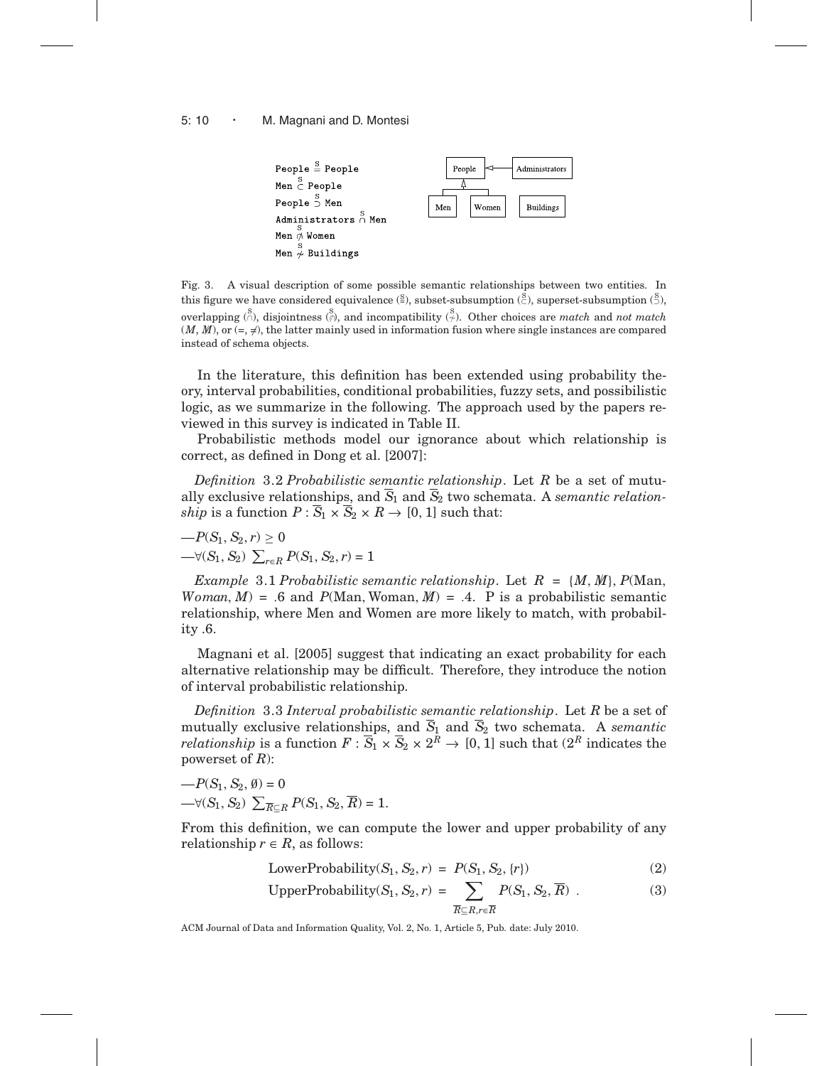# 5: 10 · M. Magnani and D. Montesi



Fig. 3. A visual description of some possible semantic relationships between two entities. In this figure we have considered equivalence  $(\frac{S}{s})$ , subset-subsumption  $(\frac{S}{s})$ , superset-subsumption  $(\frac{S}{s})$ , overlapping ( $\stackrel{S}{\cap}$ ), disjointness ( $\stackrel{S}{\varphi}$ ), and incompatibility ( $\stackrel{S}{\varphi}$ ). Other choices are *match* and *not match*  $(M, M)$ , or  $(=, \neq)$ , the latter mainly used in information fusion where single instances are compared instead of schema objects.

In the literature, this definition has been extended using probability theory, interval probabilities, conditional probabilities, fuzzy sets, and possibilistic logic, as we summarize in the following. The approach used by the papers reviewed in this survey is indicated in Table II.

Probabilistic methods model our ignorance about which relationship is correct, as defined in Dong et al. [2007]:

*Definition* 3.2 *Probabilistic semantic relationship*. Let *R* be a set of mutually exclusive relationships, and  $\overline{S}_1$  and  $\overline{S}_2$  two schemata. A *semantic relationship* is a function  $P: \overline{S}_1 \times \overline{S}_2 \times R \to [0, 1]$  such that:

 $-P(S_1, S_2, r) \ge 0$  $-\forall (S_1, S_2) \sum_{r \in R} P(S_1, S_2, r) = 1$ 

*Example* 3.1 *Probabilistic semantic relationship.* Let  $R = \{M, M\}$ , *P*(Man, *Woman*,  $M$ ) = .6 and  $P(\text{Man}, \text{Woman}, M)$  = .4. P is a probabilistic semantic relationship, where Men and Women are more likely to match, with probability .6.

Magnani et al. [2005] suggest that indicating an exact probability for each alternative relationship may be difficult. Therefore, they introduce the notion of interval probabilistic relationship.

*Definition* 3.3 *Interval probabilistic semantic relationship*. Let *R* be a set of mutually exclusive relationships, and *S*<sup>1</sup> and *S*<sup>2</sup> two schemata. A *semantic relationship* is a function  $F: \overline{S}_1 \times \overline{S}_2 \times 2^R \to [0,1]$  such that  $(2^R$  indicates the powerset of *R*):

 $-P(S_1, S_2, \emptyset) = 0$  $-\forall (S_1, S_2) \sum_{\overline{R} \subseteq R} P(S_1, S_2, \overline{R}) = 1.$ 

From this definition, we can compute the lower and upper probability of any relationship  $r \in R$ , as follows:

LowerProbability
$$
(S_1, S_2, r) = P(S_1, S_2, \{r\})
$$
 (2)

UpperProbability
$$
(S_1, S_2, r) = \sum_{\overline{R} \subseteq R, r \in \overline{R}} P(S_1, S_2, \overline{R})
$$
. (3)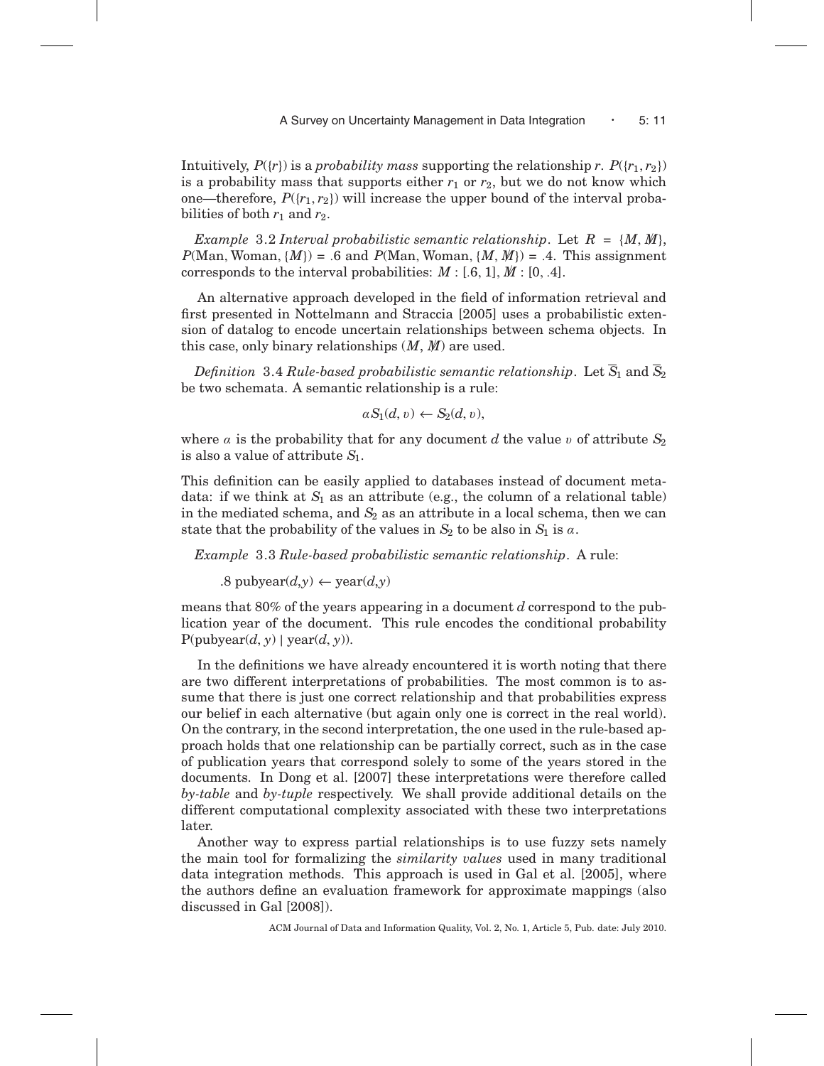Intuitively,  $P({r})$  is a *probability mass* supporting the relationship *r*.  $P({r_1, r_2})$ is a probability mass that supports either  $r_1$  or  $r_2$ , but we do not know which one—therefore,  $P({r_1},{r_2})$  will increase the upper bound of the interval probabilities of both  $r_1$  and  $r_2$ .

*Example* 3.2 *Interval probabilistic semantic relationship.* Let  $R = \{M, M\}$ ,  $P(\text{Man}, \text{Woman}, \{M\}) = .6$  and  $P(\text{Man}, \text{Woman}, \{M, M\}) = .4$ . This assignment corresponds to the interval probabilities:  $M : [0, 1], M : [0, 4]$ .

An alternative approach developed in the field of information retrieval and first presented in Nottelmann and Straccia [2005] uses a probabilistic extension of datalog to encode uncertain relationships between schema objects. In this case, only binary relationships (*M*, *M*/ ) are used.

*Definition* 3.4 *Rule-based probabilistic semantic relationship.* Let  $\overline{S}_1$  and  $\overline{S}_2$ be two schemata. A semantic relationship is a rule:

$$
\alpha S_1(d, v) \leftarrow S_2(d, v),
$$

where  $\alpha$  is the probability that for any document *d* the value v of attribute  $S_2$ is also a value of attribute *S*1.

This definition can be easily applied to databases instead of document metadata: if we think at  $S_1$  as an attribute (e.g., the column of a relational table) in the mediated schema, and  $S_2$  as an attribute in a local schema, then we can state that the probability of the values in  $S_2$  to be also in  $S_1$  is  $\alpha$ .

*Example* 3.3 *Rule-based probabilistic semantic relationship*. A rule:

 $.8$  pubyear( $d$ , $y$ )  $\leftarrow$  year( $d$ , $y$ )

means that 80% of the years appearing in a document *d* correspond to the publication year of the document. This rule encodes the conditional probability  $P(\text{pubyear}(d, y) \mid \text{year}(d, y))$ .

In the definitions we have already encountered it is worth noting that there are two different interpretations of probabilities. The most common is to assume that there is just one correct relationship and that probabilities express our belief in each alternative (but again only one is correct in the real world). On the contrary, in the second interpretation, the one used in the rule-based approach holds that one relationship can be partially correct, such as in the case of publication years that correspond solely to some of the years stored in the documents. In Dong et al. [2007] these interpretations were therefore called *by-table* and *by-tuple* respectively. We shall provide additional details on the different computational complexity associated with these two interpretations later.

Another way to express partial relationships is to use fuzzy sets namely the main tool for formalizing the *similarity values* used in many traditional data integration methods. This approach is used in Gal et al. [2005], where the authors define an evaluation framework for approximate mappings (also discussed in Gal [2008]).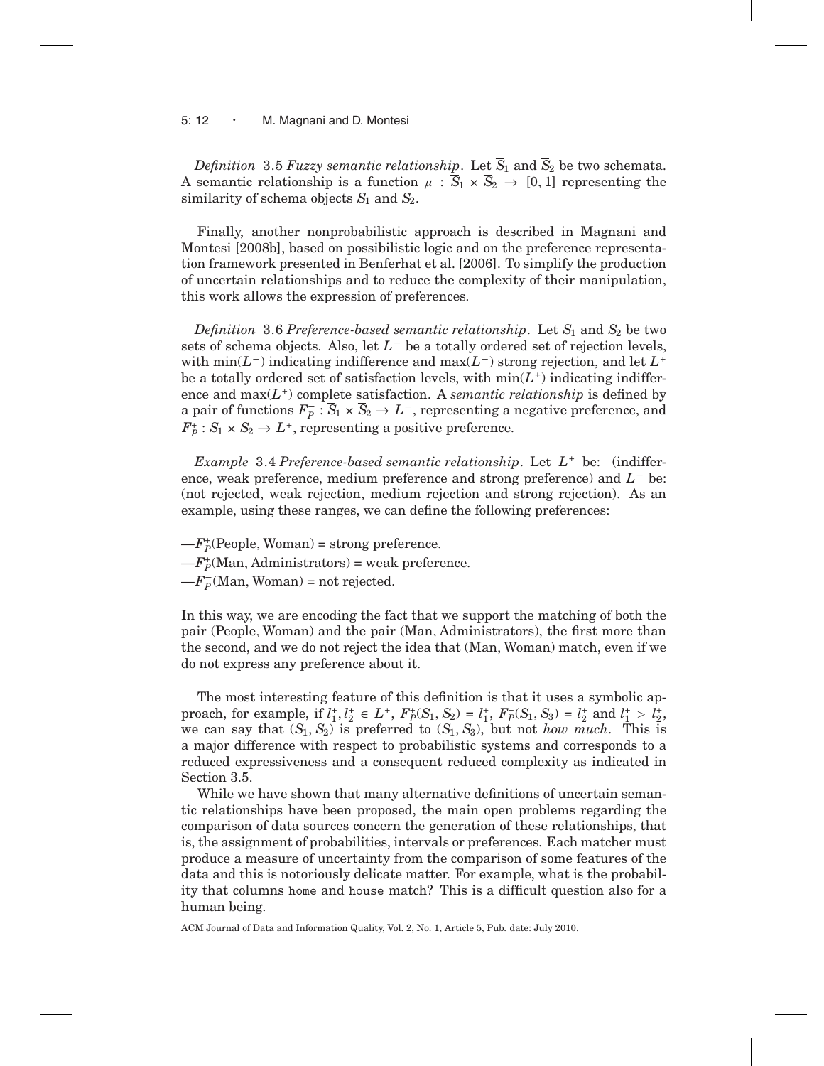#### 5: 12 · M. Magnani and D. Montesi

*Definition* 3.5 *Fuzzy semantic relationship*. Let  $\overline{S}_1$  and  $\overline{S}_2$  be two schemata. A semantic relationship is a function  $\mu : \overline{S}_1 \times \overline{S}_2 \rightarrow [0,1]$  representing the similarity of schema objects *S*<sup>1</sup> and *S*2.

Finally, another nonprobabilistic approach is described in Magnani and Montesi [2008b], based on possibilistic logic and on the preference representation framework presented in Benferhat et al. [2006]. To simplify the production of uncertain relationships and to reduce the complexity of their manipulation, this work allows the expression of preferences.

*Definition* 3.6 *Preference-based semantic relationship*. Let  $\overline{S_1}$  and  $\overline{S_2}$  be two sets of schema objects. Also, let *L*<sup>−</sup> be a totally ordered set of rejection levels, with min(*L*−) indicating indifference and max(*L*−) strong rejection, and let *L*<sup>+</sup> be a totally ordered set of satisfaction levels, with  $min(L^+)$  indicating indifference and  $max(L^+)$  complete satisfaction. A *semantic relationship* is defined by a pair of functions  $F_P^- : \overline{S}_1 \times \overline{S}_2 \to L^-$ , representing a negative preference, and  $F_P^*: \overline{S}_1 \times \overline{S}_2 \to L^*,$  representing a positive preference.

*Example* 3.4 *Preference-based semantic relationship*. Let *L*<sup>+</sup> be: (indifference, weak preference, medium preference and strong preference) and *L*<sup>−</sup> be: (not rejected, weak rejection, medium rejection and strong rejection). As an example, using these ranges, we can define the following preferences:

 $-F_P^*$ (People, Woman) = strong preference.  $-F_P^*(\text{Man}, \text{Administrators})$  = weak preference. —*F*<sup>−</sup> *<sup>P</sup>* (Man, Woman) = not rejected.

In this way, we are encoding the fact that we support the matching of both the pair (People, Woman) and the pair (Man, Administrators), the first more than the second, and we do not reject the idea that (Man, Woman) match, even if we do not express any preference about it.

The most interesting feature of this definition is that it uses a symbolic approach, for example, if  $l_1^+, l_2^+ \in L^+$ ,  $F_P^+(S_1, S_2) = l_1^+, F_P^+(S_1, S_3) = l_2^+$  and  $l_1^+ > l_2^+$ , we can say that  $(S_1, S_2)$  is preferred to  $(S_1, S_3)$ , but not *how much*. This is a major difference with respect to probabilistic systems and corresponds to a reduced expressiveness and a consequent reduced complexity as indicated in Section 3.5.

While we have shown that many alternative definitions of uncertain semantic relationships have been proposed, the main open problems regarding the comparison of data sources concern the generation of these relationships, that is, the assignment of probabilities, intervals or preferences. Each matcher must produce a measure of uncertainty from the comparison of some features of the data and this is notoriously delicate matter. For example, what is the probability that columns home and house match? This is a difficult question also for a human being.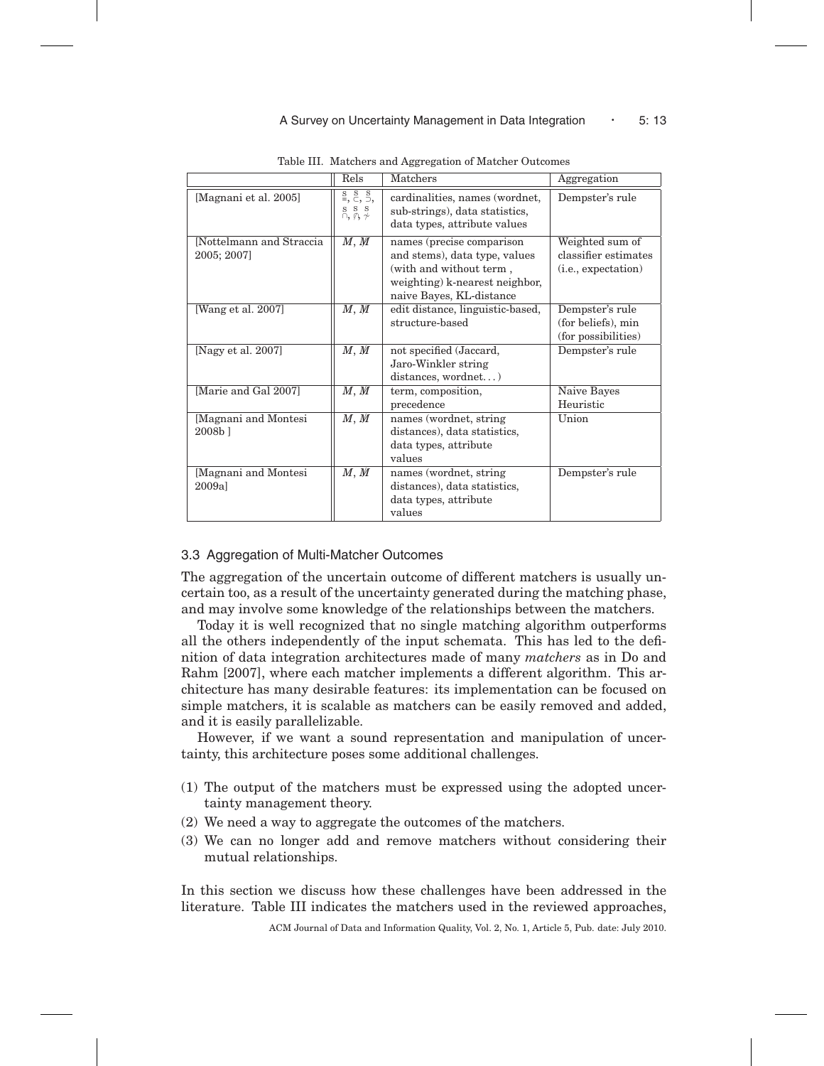## A Survey on Uncertainty Management in Data Integration • 5: 13

|                                          | Rels                                                                              | Matchers                                                                                                                                            | Aggregation                                                    |
|------------------------------------------|-----------------------------------------------------------------------------------|-----------------------------------------------------------------------------------------------------------------------------------------------------|----------------------------------------------------------------|
| [Magnani et al. 2005]                    | $\frac{S}{2}, \frac{S}{C}, \frac{S}{D},$<br>s s s $\cap, \emptyset, \nrightarrow$ | cardinalities, names (wordnet,<br>sub-strings), data statistics,<br>data types, attribute values                                                    | Dempster's rule                                                |
| [Nottelmann and Straccia]<br>2005; 2007] | M, M                                                                              | names (precise comparison<br>and stems), data type, values<br>(with and without term,<br>weighting) k-nearest neighbor,<br>naive Bayes, KL-distance | Weighted sum of<br>classifier estimates<br>(i.e., expectation) |
| [Wang et al. 2007]                       | M, M                                                                              | edit distance, linguistic-based,<br>structure-based                                                                                                 | Dempster's rule<br>(for beliefs), min<br>(for possibilities)   |
| [Nagy et al. $2007$ ]                    | M, M                                                                              | not specified (Jaccard,<br>Jaro-Winkler string<br>distances, wordnet                                                                                | Dempster's rule                                                |
| [Marie and Gal 2007]                     | M, M                                                                              | term, composition,<br>precedence                                                                                                                    | Naive Bayes<br>Heuristic                                       |
| [Magnani and Montesi<br>2008b l          | M, M                                                                              | names (wordnet, string)<br>distances), data statistics,<br>data types, attribute<br>values                                                          | Union                                                          |
| [Magnani and Montesi<br>2009al           | M, M                                                                              | names (wordnet, string)<br>distances), data statistics,<br>data types, attribute<br>values                                                          | Dempster's rule                                                |

Table III. Matchers and Aggregation of Matcher Outcomes

# 3.3 Aggregation of Multi-Matcher Outcomes

The aggregation of the uncertain outcome of different matchers is usually uncertain too, as a result of the uncertainty generated during the matching phase, and may involve some knowledge of the relationships between the matchers.

Today it is well recognized that no single matching algorithm outperforms all the others independently of the input schemata. This has led to the definition of data integration architectures made of many *matchers* as in Do and Rahm [2007], where each matcher implements a different algorithm. This architecture has many desirable features: its implementation can be focused on simple matchers, it is scalable as matchers can be easily removed and added, and it is easily parallelizable.

However, if we want a sound representation and manipulation of uncertainty, this architecture poses some additional challenges.

- (1) The output of the matchers must be expressed using the adopted uncertainty management theory.
- (2) We need a way to aggregate the outcomes of the matchers.
- (3) We can no longer add and remove matchers without considering their mutual relationships.

In this section we discuss how these challenges have been addressed in the literature. Table III indicates the matchers used in the reviewed approaches,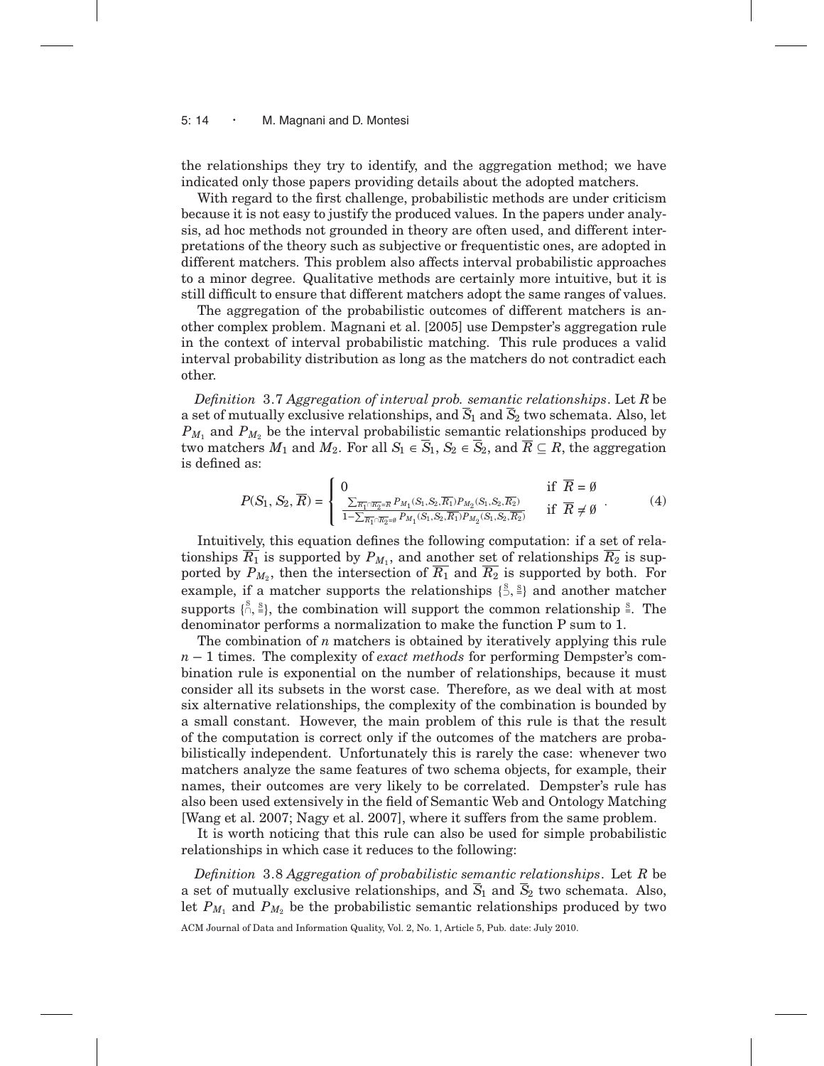#### 5: 14 • M. Magnani and D. Montesi

the relationships they try to identify, and the aggregation method; we have indicated only those papers providing details about the adopted matchers.

With regard to the first challenge, probabilistic methods are under criticism because it is not easy to justify the produced values. In the papers under analysis, ad hoc methods not grounded in theory are often used, and different interpretations of the theory such as subjective or frequentistic ones, are adopted in different matchers. This problem also affects interval probabilistic approaches to a minor degree. Qualitative methods are certainly more intuitive, but it is still difficult to ensure that different matchers adopt the same ranges of values.

The aggregation of the probabilistic outcomes of different matchers is another complex problem. Magnani et al. [2005] use Dempster's aggregation rule in the context of interval probabilistic matching. This rule produces a valid interval probability distribution as long as the matchers do not contradict each other.

*Definition* 3.7 *Aggregation of interval prob. semantic relationships*. Let *R* be a set of mutually exclusive relationships, and  $\overline{S}_1$  and  $\overline{S}_2$  two schemata. Also, let  $P_{M_1}$  and  $P_{M_2}$  be the interval probabilistic semantic relationships produced by two matchers  $M_1$  and  $M_2$ . For all  $S_1 \in \overline{S_1}$ ,  $S_2 \in \overline{S_2}$ , and  $\overline{R} \subseteq R$ , the aggregation is defined as:

$$
P(S_1, S_2, \overline{R}) = \begin{cases} 0 & \text{if } \overline{R} = \emptyset \\ \frac{\sum_{\overline{R_1} \cap \overline{R_2} = \overline{R}} P_{M_1}(S_1, S_2, \overline{R_1}) P_{M_2}(S_1, S_2, \overline{R_2})}{1 - \sum_{\overline{R_1} \cap \overline{R_2} = \emptyset} P_{M_1}(S_1, S_2, \overline{R_1}) P_{M_2}(S_1, S_2, \overline{R_2})} & \text{if } \overline{R} \neq \emptyset \end{cases} (4)
$$

Intuitively, this equation defines the following computation: if a set of relationships  $\overline{R_1}$  is supported by  $P_{M_1}$ , and another set of relationships  $\overline{R_2}$  is supported by  $P_{M_2}$ , then the intersection of  $\overline{R_1}$  and  $\overline{R_2}$  is supported by both. For example, if a matcher supports the relationships  $\{\xi, \xi\}$  and another matcher supports  $\{\hat{a}, \hat{a}\}$ , the combination will support the common relationship  $\hat{a}$ . The denominator performs a normalization to make the function P sum to 1.

The combination of *n* matchers is obtained by iteratively applying this rule *n* − 1 times. The complexity of *exact methods* for performing Dempster's combination rule is exponential on the number of relationships, because it must consider all its subsets in the worst case. Therefore, as we deal with at most six alternative relationships, the complexity of the combination is bounded by a small constant. However, the main problem of this rule is that the result of the computation is correct only if the outcomes of the matchers are probabilistically independent. Unfortunately this is rarely the case: whenever two matchers analyze the same features of two schema objects, for example, their names, their outcomes are very likely to be correlated. Dempster's rule has also been used extensively in the field of Semantic Web and Ontology Matching [Wang et al. 2007; Nagy et al. 2007], where it suffers from the same problem.

It is worth noticing that this rule can also be used for simple probabilistic relationships in which case it reduces to the following:

*Definition* 3.8 *Aggregation of probabilistic semantic relationships*. Let *R* be a set of mutually exclusive relationships, and  $\overline{S}_1$  and  $\overline{S}_2$  two schemata. Also, let  $P_{M_1}$  and  $P_{M_2}$  be the probabilistic semantic relationships produced by two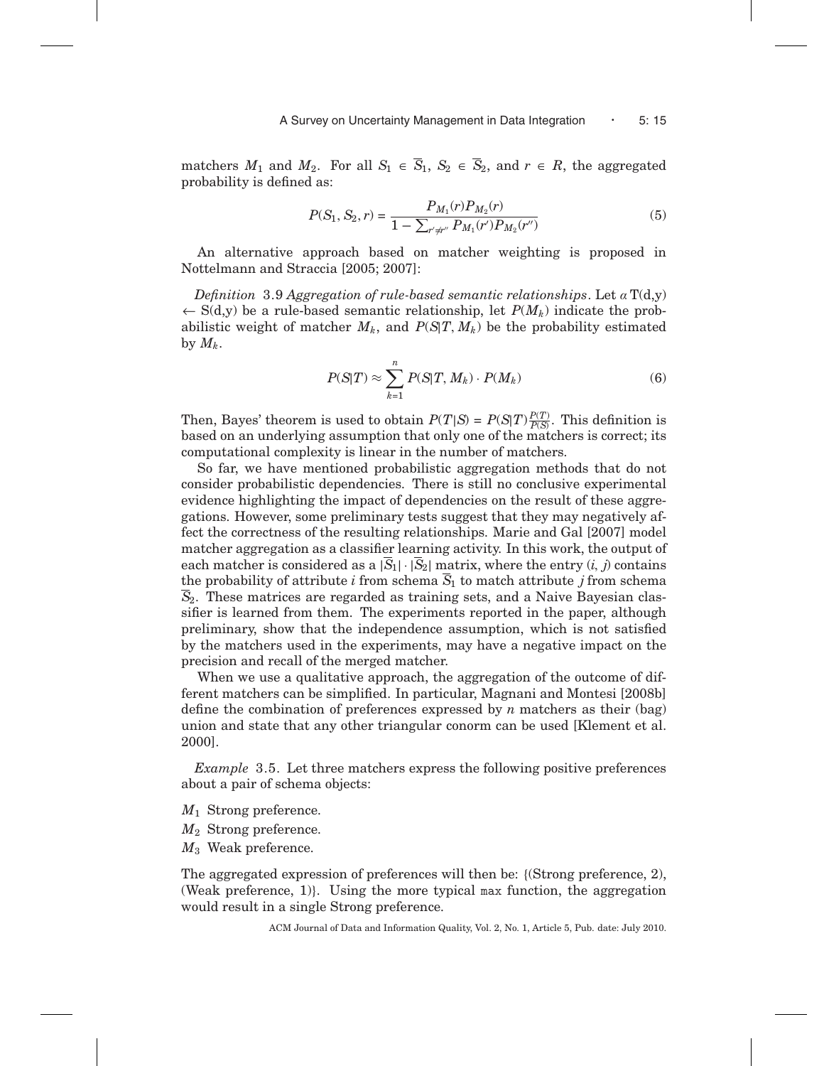matchers  $M_1$  and  $M_2$ . For all  $S_1 \in \overline{S_1}$ ,  $S_2 \in \overline{S_2}$ , and  $r \in R$ , the aggregated probability is defined as:

$$
P(S_1, S_2, r) = \frac{P_{M_1}(r)P_{M_2}(r)}{1 - \sum_{r' \neq r''} P_{M_1}(r')P_{M_2}(r'')} \tag{5}
$$

An alternative approach based on matcher weighting is proposed in Nottelmann and Straccia [2005; 2007]:

*Definition* 3.9 *Aggregation of rule-based semantic relationships*. Let  $\alpha T(d,y)$ ← S(d,y) be a rule-based semantic relationship, let *P*(*Mk*) indicate the probabilistic weight of matcher  $M_k$ , and  $P(S|T, M_k)$  be the probability estimated by  $M_k$ .

$$
P(S|T) \approx \sum_{k=1}^{n} P(S|T, M_k) \cdot P(M_k)
$$
\n(6)

Then, Bayes' theorem is used to obtain  $P(T|S) = P(S|T) \frac{P(T)}{P(S)}$ . This definition is based on an underlying assumption that only one of the matchers is correct; its computational complexity is linear in the number of matchers.

So far, we have mentioned probabilistic aggregation methods that do not consider probabilistic dependencies. There is still no conclusive experimental evidence highlighting the impact of dependencies on the result of these aggregations. However, some preliminary tests suggest that they may negatively affect the correctness of the resulting relationships. Marie and Gal [2007] model matcher aggregation as a classifier learning activity. In this work, the output of each matcher is considered as a  $|S_1|\cdot|S_2|$  matrix, where the entry  $(i, j)$  contains the probability of attribute *i* from schema  $\overline{S}_1$  to match attribute *j* from schema *S*2. These matrices are regarded as training sets, and a Naive Bayesian classifier is learned from them. The experiments reported in the paper, although preliminary, show that the independence assumption, which is not satisfied by the matchers used in the experiments, may have a negative impact on the precision and recall of the merged matcher.

When we use a qualitative approach, the aggregation of the outcome of different matchers can be simplified. In particular, Magnani and Montesi [2008b] define the combination of preferences expressed by *n* matchers as their (bag) union and state that any other triangular conorm can be used [Klement et al. 2000].

*Example* 3.5. Let three matchers express the following positive preferences about a pair of schema objects:

*M*<sup>1</sup> Strong preference.

*M*<sup>2</sup> Strong preference.

*M*<sup>3</sup> Weak preference.

The aggregated expression of preferences will then be: {(Strong preference, 2), (Weak preference, 1). Using the more typical max function, the aggregation would result in a single Strong preference.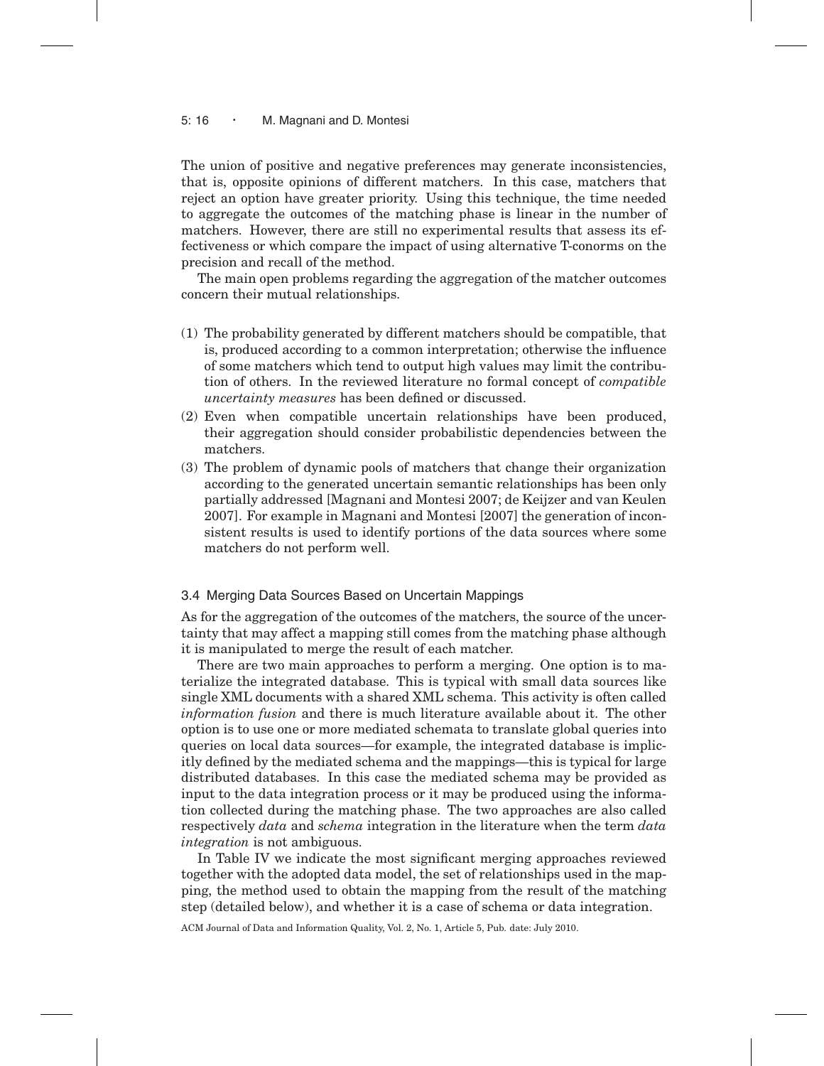#### 5: 16 • M. Magnani and D. Montesi

The union of positive and negative preferences may generate inconsistencies, that is, opposite opinions of different matchers. In this case, matchers that reject an option have greater priority. Using this technique, the time needed to aggregate the outcomes of the matching phase is linear in the number of matchers. However, there are still no experimental results that assess its effectiveness or which compare the impact of using alternative T-conorms on the precision and recall of the method.

The main open problems regarding the aggregation of the matcher outcomes concern their mutual relationships.

- (1) The probability generated by different matchers should be compatible, that is, produced according to a common interpretation; otherwise the influence of some matchers which tend to output high values may limit the contribution of others. In the reviewed literature no formal concept of *compatible uncertainty measures* has been defined or discussed.
- (2) Even when compatible uncertain relationships have been produced, their aggregation should consider probabilistic dependencies between the matchers.
- (3) The problem of dynamic pools of matchers that change their organization according to the generated uncertain semantic relationships has been only partially addressed [Magnani and Montesi 2007; de Keijzer and van Keulen 2007]. For example in Magnani and Montesi [2007] the generation of inconsistent results is used to identify portions of the data sources where some matchers do not perform well.

## 3.4 Merging Data Sources Based on Uncertain Mappings

As for the aggregation of the outcomes of the matchers, the source of the uncertainty that may affect a mapping still comes from the matching phase although it is manipulated to merge the result of each matcher.

There are two main approaches to perform a merging. One option is to materialize the integrated database. This is typical with small data sources like single XML documents with a shared XML schema. This activity is often called *information fusion* and there is much literature available about it. The other option is to use one or more mediated schemata to translate global queries into queries on local data sources—for example, the integrated database is implicitly defined by the mediated schema and the mappings—this is typical for large distributed databases. In this case the mediated schema may be provided as input to the data integration process or it may be produced using the information collected during the matching phase. The two approaches are also called respectively *data* and *schema* integration in the literature when the term *data integration* is not ambiguous.

In Table IV we indicate the most significant merging approaches reviewed together with the adopted data model, the set of relationships used in the mapping, the method used to obtain the mapping from the result of the matching step (detailed below), and whether it is a case of schema or data integration.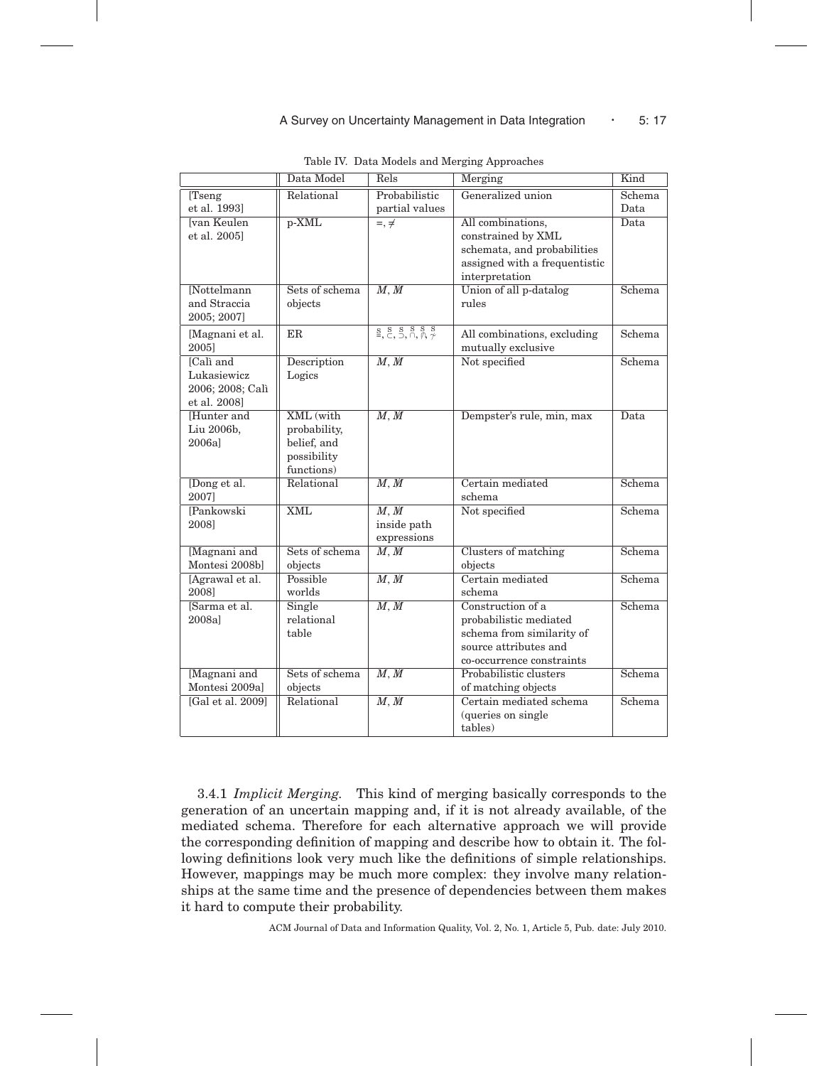|                                                              | Data Model                                                            | Rels                                                                                                                                                                                                                                                                                             | Merging                                                                                                                        | Kind           |
|--------------------------------------------------------------|-----------------------------------------------------------------------|--------------------------------------------------------------------------------------------------------------------------------------------------------------------------------------------------------------------------------------------------------------------------------------------------|--------------------------------------------------------------------------------------------------------------------------------|----------------|
| [Tseng]<br>et al. 1993]                                      | Relational                                                            | Probabilistic<br>partial values                                                                                                                                                                                                                                                                  | Generalized union                                                                                                              | Schema<br>Data |
| <b>Van Keulen</b><br>et al. 2005]                            | p-XML                                                                 | $=$ , $\neq$                                                                                                                                                                                                                                                                                     | All combinations,<br>constrained by XML<br>schemata, and probabilities<br>assigned with a frequentistic<br>interpretation      | Data           |
| [Nottelmann]<br>and Straccia<br>2005; 2007]                  | Sets of schema<br>objects                                             | M, M                                                                                                                                                                                                                                                                                             | Union of all p-datalog<br>rules                                                                                                | Schema         |
| [Magnani et al.<br>2005]                                     | ER                                                                    | $\underline{\underline{\mathbf{s}}}, \underline{\underline{\mathbf{s}}}, \underline{\underline{\mathbf{s}}}, \underline{\underline{\mathbf{s}}}, \underline{\underline{\mathbf{s}}}, \underline{\underline{\mathbf{s}}}, \underline{\underline{\mathbf{s}}}, \underline{\underline{\mathbf{s}}}$ | All combinations, excluding<br>mutually exclusive                                                                              | Schema         |
| [Calì and<br>Lukasiewicz<br>2006; 2008; Calì<br>et al. 2008] | Description<br>Logics                                                 | M, M                                                                                                                                                                                                                                                                                             | Not specified                                                                                                                  | Schema         |
| Hunter and<br>Liu 2006b,<br>2006a]                           | XML (with<br>probability,<br>belief, and<br>possibility<br>functions) | M, M                                                                                                                                                                                                                                                                                             | Dempster's rule, min, max                                                                                                      | Data           |
| [Dong et al.<br>2007]                                        | Relational                                                            | M, M                                                                                                                                                                                                                                                                                             | Certain mediated<br>schema                                                                                                     | Schema         |
| [Pankowski<br>2008]                                          | <b>XML</b>                                                            | M, M<br>inside path<br>expressions                                                                                                                                                                                                                                                               | Not specified                                                                                                                  | Schema         |
| [Magnani and<br>Montesi 2008bl                               | Sets of schema<br>objects                                             | M, M                                                                                                                                                                                                                                                                                             | Clusters of matching<br>objects                                                                                                | Schema         |
| [Agrawal et al.<br>2008]                                     | Possible<br>worlds                                                    | M, M                                                                                                                                                                                                                                                                                             | Certain mediated<br>schema                                                                                                     | Schema         |
| Sarma et al.<br>2008a]                                       | Single<br>relational<br>table                                         | $\overline{M},\overline{M}$                                                                                                                                                                                                                                                                      | Construction of a<br>probabilistic mediated<br>schema from similarity of<br>source attributes and<br>co-occurrence constraints | Schema         |
| Magnani and<br>Montesi 2009al                                | Sets of schema<br>objects                                             | M, M                                                                                                                                                                                                                                                                                             | Probabilistic clusters<br>of matching objects                                                                                  | Schema         |
| [Gal et al. 2009]                                            | Relational                                                            | M, M                                                                                                                                                                                                                                                                                             | Certain mediated schema<br>(queries on single<br>tables)                                                                       | Schema         |

Table IV. Data Models and Merging Approaches

3.4.1 *Implicit Merging.* This kind of merging basically corresponds to the generation of an uncertain mapping and, if it is not already available, of the mediated schema. Therefore for each alternative approach we will provide the corresponding definition of mapping and describe how to obtain it. The following definitions look very much like the definitions of simple relationships. However, mappings may be much more complex: they involve many relationships at the same time and the presence of dependencies between them makes it hard to compute their probability.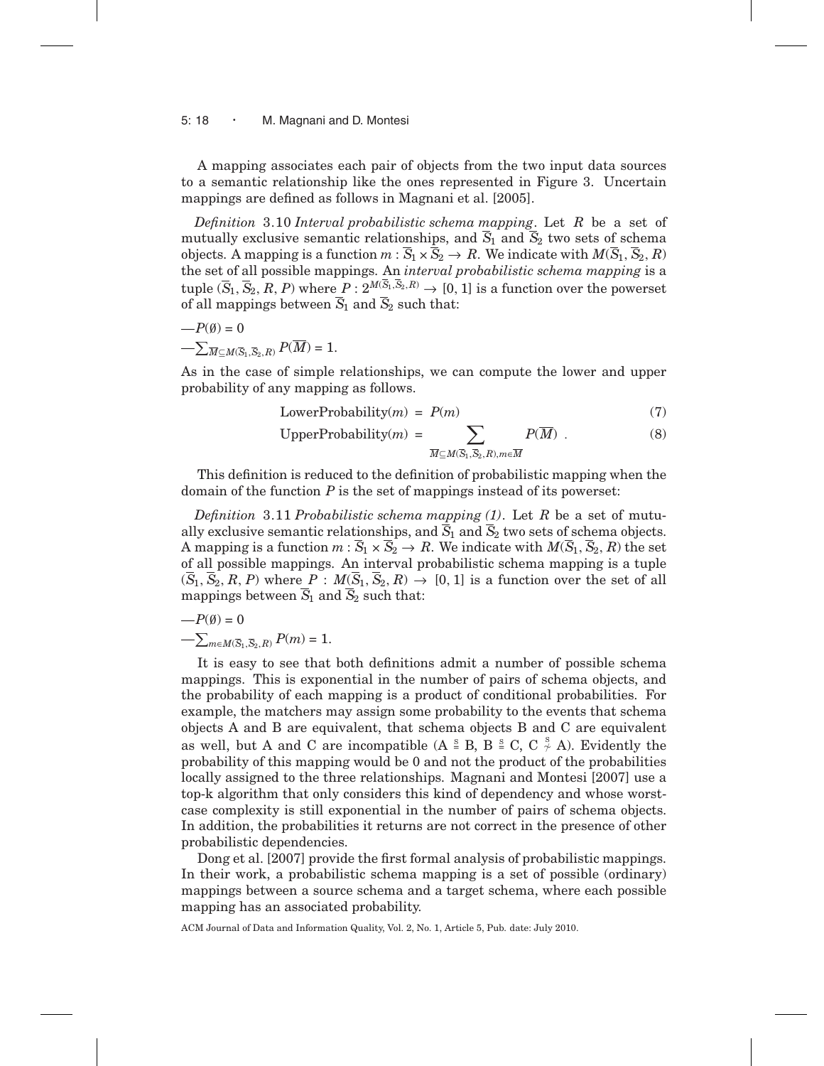#### 5: 18 • M. Magnani and D. Montesi

A mapping associates each pair of objects from the two input data sources to a semantic relationship like the ones represented in Figure 3. Uncertain mappings are defined as follows in Magnani et al. [2005].

*Definition* 3.10 *Interval probabilistic schema mapping*. Let *R* be a set of mutually exclusive semantic relationships, and  $\overline{S}_1$  and  $\overline{S}_2$  two sets of schema objects. A mapping is a function  $m : \overline{S}_1 \times \overline{S}_2 \to R$ . We indicate with  $M(\overline{S}_1, \overline{S}_2, R)$ the set of all possible mappings. An *interval probabilistic schema mapping* is a tuple  $(\overline{S}_1, \overline{S}_2, R, P)$  where  $P : 2^{M(\overline{S}_1, \overline{S}_2, R)} \to [0, 1]$  is a function over the powerset of all mappings between  $\overline{S}_1$  and  $\overline{S}_2$  such that:

$$
-P(\emptyset) = 0
$$
  

$$
-\sum_{\overline{M} \subseteq M(\overline{S}_1, \overline{S}_2, R)} P(\overline{M}) = 1.
$$

As in the case of simple relationships, we can compute the lower and upper probability of any mapping as follows.

$$
LowerProbability(m) = P(m)
$$
 (7)

UpperProbability $(m) = \sum$  $P(\overline{M})$  . (8)

$$
\overline{M}\underline{\subseteq}M(\overline{S}_{1}, \overline{S}_{2}, R), m\in\overline{M}
$$

This definition is reduced to the definition of probabilistic mapping when the domain of the function *P* is the set of mappings instead of its powerset:

*Definition* 3.11 *Probabilistic schema mapping (1)*. Let *R* be a set of mutually exclusive semantic relationships, and  $\overline{S}_1$  and  $\overline{S}_2$  two sets of schema objects. A mapping is a function  $m : \overline{S}_1 \times \overline{S}_2 \to R$ . We indicate with  $M(\overline{S}_1, \overline{S}_2, R)$  the set of all possible mappings. An interval probabilistic schema mapping is a tuple  $(\overline{S}_1, \overline{S}_2, R, P)$  where  $P : M(\overline{S}_1, \overline{S}_2, R) \to [0, 1]$  is a function over the set of all mappings between  $\overline{S}_1$  and  $\overline{S}_2$  such that:

$$
-P(\emptyset) = 0
$$
  
- $\sum_{m \in M(\bar{S}_1, \bar{S}_2, R)} P(m) = 1.$ 

It is easy to see that both definitions admit a number of possible schema mappings. This is exponential in the number of pairs of schema objects, and the probability of each mapping is a product of conditional probabilities. For example, the matchers may assign some probability to the events that schema objects A and B are equivalent, that schema objects B and C are equivalent as well, but A and C are incompatible  $(A \stackrel{\text{S}}{=} B, B \stackrel{\text{S}}{=} C, C \stackrel{\text{S}}{'} A)$ . Evidently the probability of this mapping would be 0 and not the product of the probabilities locally assigned to the three relationships. Magnani and Montesi [2007] use a top-k algorithm that only considers this kind of dependency and whose worstcase complexity is still exponential in the number of pairs of schema objects. In addition, the probabilities it returns are not correct in the presence of other probabilistic dependencies.

Dong et al. [2007] provide the first formal analysis of probabilistic mappings. In their work, a probabilistic schema mapping is a set of possible (ordinary) mappings between a source schema and a target schema, where each possible mapping has an associated probability.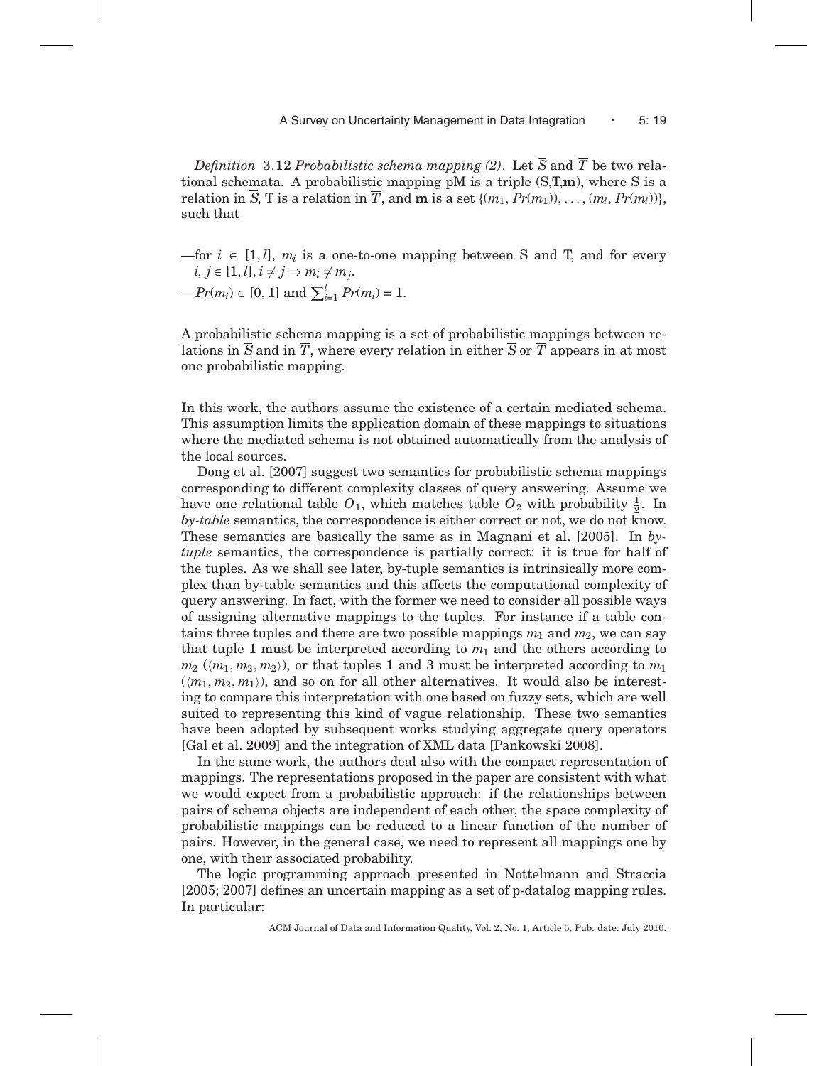*Definition* 3.12 *Probabilistic schema mapping (2)*. Let  $\overline{S}$  and  $\overline{T}$  be two relational schemata. A probabilistic mapping pM is a triple (S,T,**m**), where S is a relation in  $\overline{S}$ , T is a relation in  $\overline{T}$ , and **m** is a set { $(m_1, Pr(m_1)), \ldots, (m_l, Pr(m_l))$ }, such that

—for  $i \in [1, l], m_i$  is a one-to-one mapping between S and T, and for every  $i, j \in [1, l], i \neq j \Rightarrow m_i \neq m_j.$  $-Pr(m_i) \in [0, 1]$  and  $\sum_{i=1}^{l} Pr(m_i) = 1$ .

A probabilistic schema mapping is a set of probabilistic mappings between relations in  $\overline{S}$  and in  $\overline{T}$ , where every relation in either  $\overline{S}$  or  $\overline{T}$  appears in at most one probabilistic mapping.

In this work, the authors assume the existence of a certain mediated schema. This assumption limits the application domain of these mappings to situations where the mediated schema is not obtained automatically from the analysis of the local sources.

Dong et al. [2007] suggest two semantics for probabilistic schema mappings corresponding to different complexity classes of query answering. Assume we have one relational table  $O_1$ , which matches table  $O_2$  with probability  $\frac{1}{2}$ . In *by-table* semantics, the correspondence is either correct or not, we do not know. These semantics are basically the same as in Magnani et al. [2005]. In *bytuple* semantics, the correspondence is partially correct: it is true for half of the tuples. As we shall see later, by-tuple semantics is intrinsically more complex than by-table semantics and this affects the computational complexity of query answering. In fact, with the former we need to consider all possible ways of assigning alternative mappings to the tuples. For instance if a table contains three tuples and there are two possible mappings  $m_1$  and  $m_2$ , we can say that tuple 1 must be interpreted according to  $m_1$  and the others according to  $m_2$  ( $\langle m_1, m_2, m_2 \rangle$ ), or that tuples 1 and 3 must be interpreted according to  $m_1$  $(\langle m_1, m_2, m_1 \rangle)$ , and so on for all other alternatives. It would also be interesting to compare this interpretation with one based on fuzzy sets, which are well suited to representing this kind of vague relationship. These two semantics have been adopted by subsequent works studying aggregate query operators [Gal et al. 2009] and the integration of XML data [Pankowski 2008].

In the same work, the authors deal also with the compact representation of mappings. The representations proposed in the paper are consistent with what we would expect from a probabilistic approach: if the relationships between pairs of schema objects are independent of each other, the space complexity of probabilistic mappings can be reduced to a linear function of the number of pairs. However, in the general case, we need to represent all mappings one by one, with their associated probability.

The logic programming approach presented in Nottelmann and Straccia [2005; 2007] defines an uncertain mapping as a set of p-datalog mapping rules. In particular: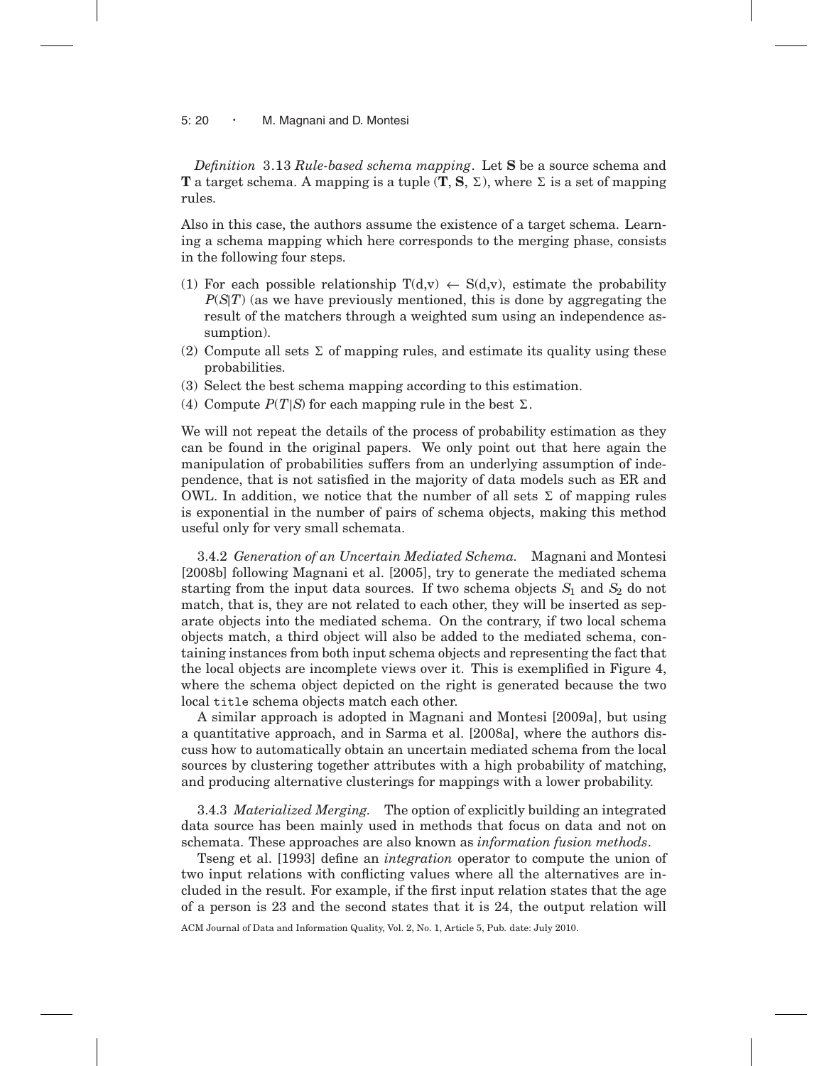## 5: 20 • M. Magnani and D. Montesi

*Definition* 3.13 *Rule-based schema mapping*. Let **S** be a source schema and **T** a target schema. A mapping is a tuple  $(\mathbf{T}, \mathbf{S}, \Sigma)$ , where  $\Sigma$  is a set of mapping rules.

Also in this case, the authors assume the existence of a target schema. Learning a schema mapping which here corresponds to the merging phase, consists in the following four steps.

- (1) For each possible relationship  $T(d,v) \leftarrow S(d,v)$ , estimate the probability *P*(*S*|*T*) (as we have previously mentioned, this is done by aggregating the result of the matchers through a weighted sum using an independence assumption).
- (2) Compute all sets  $\Sigma$  of mapping rules, and estimate its quality using these probabilities.
- (3) Select the best schema mapping according to this estimation.
- (4) Compute  $P(T|S)$  for each mapping rule in the best  $\Sigma$ .

We will not repeat the details of the process of probability estimation as they can be found in the original papers. We only point out that here again the manipulation of probabilities suffers from an underlying assumption of independence, that is not satisfied in the majority of data models such as ER and OWL. In addition, we notice that the number of all sets  $\Sigma$  of mapping rules is exponential in the number of pairs of schema objects, making this method useful only for very small schemata.

3.4.2 *Generation of an Uncertain Mediated Schema.* Magnani and Montesi [2008b] following Magnani et al. [2005], try to generate the mediated schema starting from the input data sources. If two schema objects  $S_1$  and  $S_2$  do not match, that is, they are not related to each other, they will be inserted as separate objects into the mediated schema. On the contrary, if two local schema objects match, a third object will also be added to the mediated schema, containing instances from both input schema objects and representing the fact that the local objects are incomplete views over it. This is exemplified in Figure 4, where the schema object depicted on the right is generated because the two local title schema objects match each other.

A similar approach is adopted in Magnani and Montesi [2009a], but using a quantitative approach, and in Sarma et al. [2008a], where the authors discuss how to automatically obtain an uncertain mediated schema from the local sources by clustering together attributes with a high probability of matching, and producing alternative clusterings for mappings with a lower probability.

3.4.3 *Materialized Merging.* The option of explicitly building an integrated data source has been mainly used in methods that focus on data and not on schemata. These approaches are also known as *information fusion methods*.

Tseng et al. [1993] define an *integration* operator to compute the union of two input relations with conflicting values where all the alternatives are included in the result. For example, if the first input relation states that the age of a person is 23 and the second states that it is 24, the output relation will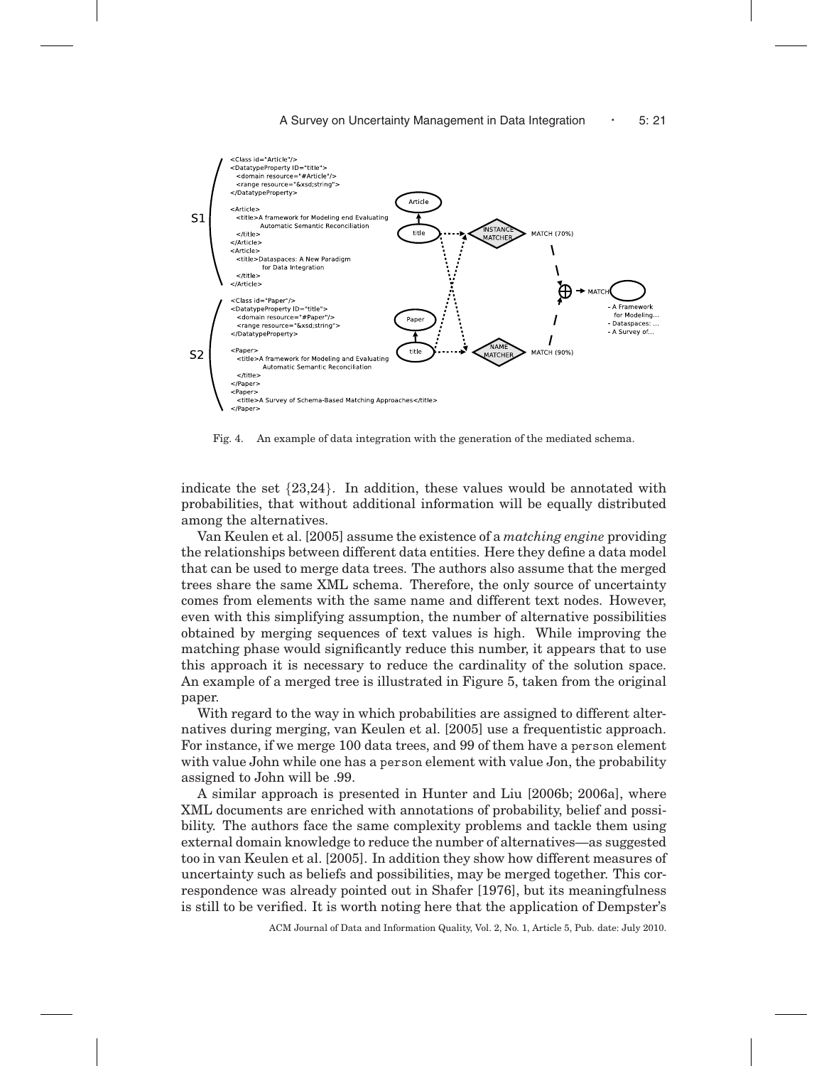

Fig. 4. An example of data integration with the generation of the mediated schema.

indicate the set  $\{23,24\}$ . In addition, these values would be annotated with probabilities, that without additional information will be equally distributed among the alternatives.

Van Keulen et al. [2005] assume the existence of a *matching engine* providing the relationships between different data entities. Here they define a data model that can be used to merge data trees. The authors also assume that the merged trees share the same XML schema. Therefore, the only source of uncertainty comes from elements with the same name and different text nodes. However, even with this simplifying assumption, the number of alternative possibilities obtained by merging sequences of text values is high. While improving the matching phase would significantly reduce this number, it appears that to use this approach it is necessary to reduce the cardinality of the solution space. An example of a merged tree is illustrated in Figure 5, taken from the original paper.

With regard to the way in which probabilities are assigned to different alternatives during merging, van Keulen et al. [2005] use a frequentistic approach. For instance, if we merge 100 data trees, and 99 of them have a person element with value John while one has a person element with value Jon, the probability assigned to John will be .99.

A similar approach is presented in Hunter and Liu [2006b; 2006a], where XML documents are enriched with annotations of probability, belief and possibility. The authors face the same complexity problems and tackle them using external domain knowledge to reduce the number of alternatives—as suggested too in van Keulen et al. [2005]. In addition they show how different measures of uncertainty such as beliefs and possibilities, may be merged together. This correspondence was already pointed out in Shafer [1976], but its meaningfulness is still to be verified. It is worth noting here that the application of Dempster's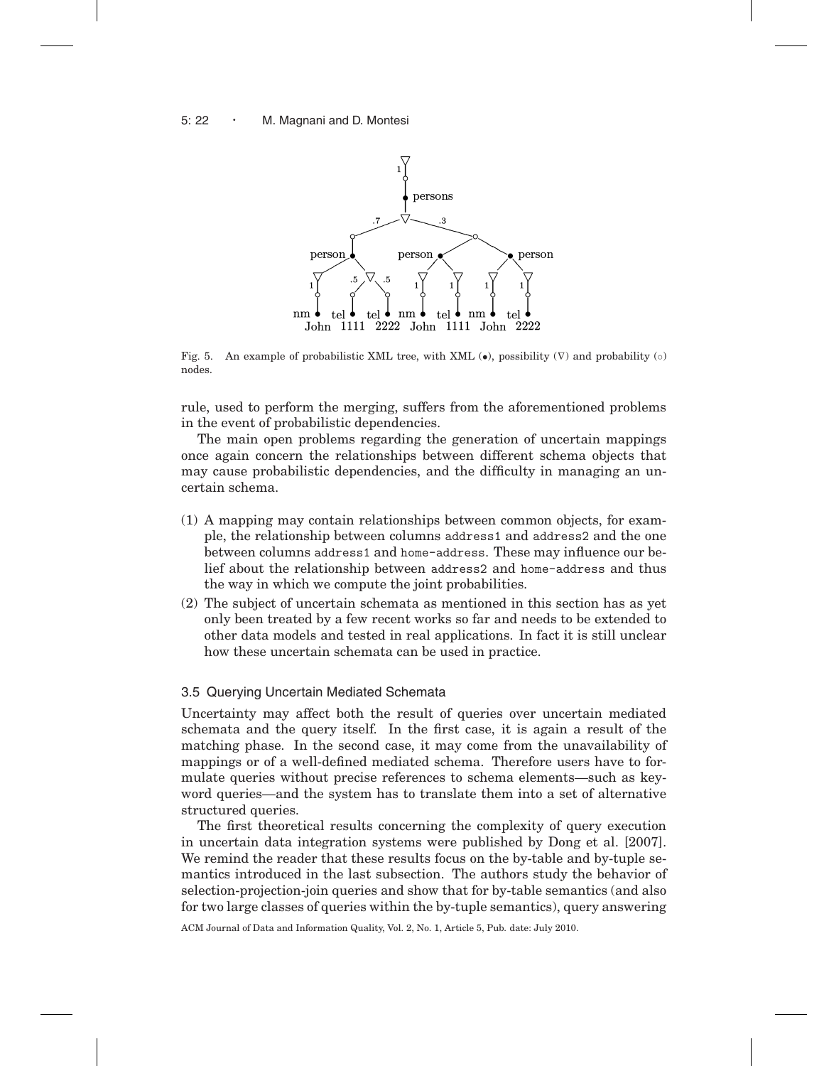#### 5: 22 · M. Magnani and D. Montesi



Fig. 5. An example of probabilistic XML tree, with XML  $(\bullet)$ , possibility  $(\nabla)$  and probability  $(\circ)$ nodes.

rule, used to perform the merging, suffers from the aforementioned problems in the event of probabilistic dependencies.

The main open problems regarding the generation of uncertain mappings once again concern the relationships between different schema objects that may cause probabilistic dependencies, and the difficulty in managing an uncertain schema.

- (1) A mapping may contain relationships between common objects, for example, the relationship between columns address1 and address2 and the one between columns address1 and home-address. These may influence our belief about the relationship between address2 and home-address and thus the way in which we compute the joint probabilities.
- (2) The subject of uncertain schemata as mentioned in this section has as yet only been treated by a few recent works so far and needs to be extended to other data models and tested in real applications. In fact it is still unclear how these uncertain schemata can be used in practice.

#### 3.5 Querying Uncertain Mediated Schemata

Uncertainty may affect both the result of queries over uncertain mediated schemata and the query itself. In the first case, it is again a result of the matching phase. In the second case, it may come from the unavailability of mappings or of a well-defined mediated schema. Therefore users have to formulate queries without precise references to schema elements—such as keyword queries—and the system has to translate them into a set of alternative structured queries.

The first theoretical results concerning the complexity of query execution in uncertain data integration systems were published by Dong et al. [2007]. We remind the reader that these results focus on the by-table and by-tuple semantics introduced in the last subsection. The authors study the behavior of selection-projection-join queries and show that for by-table semantics (and also for two large classes of queries within the by-tuple semantics), query answering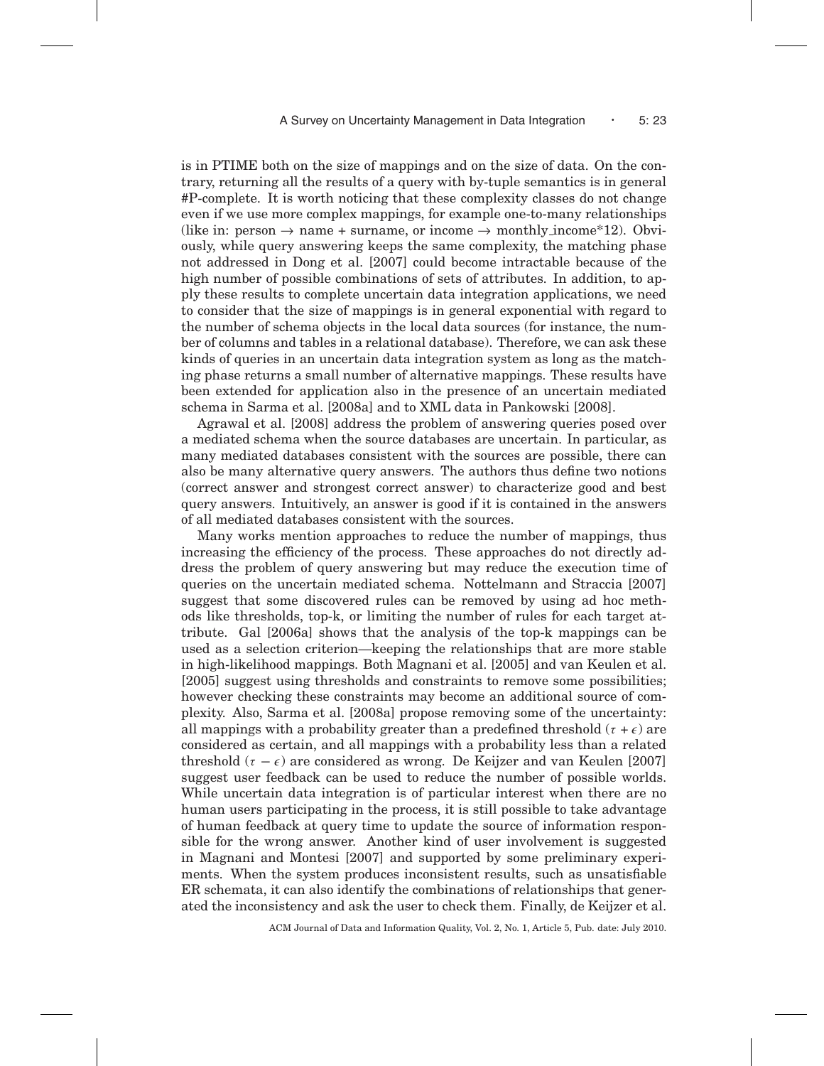is in PTIME both on the size of mappings and on the size of data. On the contrary, returning all the results of a query with by-tuple semantics is in general #P-complete. It is worth noticing that these complexity classes do not change even if we use more complex mappings, for example one-to-many relationships (like in: person  $\rightarrow$  name + surname, or income  $\rightarrow$  monthly income\*12). Obviously, while query answering keeps the same complexity, the matching phase not addressed in Dong et al. [2007] could become intractable because of the high number of possible combinations of sets of attributes. In addition, to apply these results to complete uncertain data integration applications, we need to consider that the size of mappings is in general exponential with regard to the number of schema objects in the local data sources (for instance, the number of columns and tables in a relational database). Therefore, we can ask these kinds of queries in an uncertain data integration system as long as the matching phase returns a small number of alternative mappings. These results have been extended for application also in the presence of an uncertain mediated schema in Sarma et al. [2008a] and to XML data in Pankowski [2008].

Agrawal et al. [2008] address the problem of answering queries posed over a mediated schema when the source databases are uncertain. In particular, as many mediated databases consistent with the sources are possible, there can also be many alternative query answers. The authors thus define two notions (correct answer and strongest correct answer) to characterize good and best query answers. Intuitively, an answer is good if it is contained in the answers of all mediated databases consistent with the sources.

Many works mention approaches to reduce the number of mappings, thus increasing the efficiency of the process. These approaches do not directly address the problem of query answering but may reduce the execution time of queries on the uncertain mediated schema. Nottelmann and Straccia [2007] suggest that some discovered rules can be removed by using ad hoc methods like thresholds, top-k, or limiting the number of rules for each target attribute. Gal [2006a] shows that the analysis of the top-k mappings can be used as a selection criterion—keeping the relationships that are more stable in high-likelihood mappings. Both Magnani et al. [2005] and van Keulen et al. [2005] suggest using thresholds and constraints to remove some possibilities; however checking these constraints may become an additional source of complexity. Also, Sarma et al. [2008a] propose removing some of the uncertainty: all mappings with a probability greater than a predefined threshold ( $\tau + \epsilon$ ) are considered as certain, and all mappings with a probability less than a related threshold ( $\tau - \epsilon$ ) are considered as wrong. De Keijzer and van Keulen [2007] suggest user feedback can be used to reduce the number of possible worlds. While uncertain data integration is of particular interest when there are no human users participating in the process, it is still possible to take advantage of human feedback at query time to update the source of information responsible for the wrong answer. Another kind of user involvement is suggested in Magnani and Montesi [2007] and supported by some preliminary experiments. When the system produces inconsistent results, such as unsatisfiable ER schemata, it can also identify the combinations of relationships that generated the inconsistency and ask the user to check them. Finally, de Keijzer et al.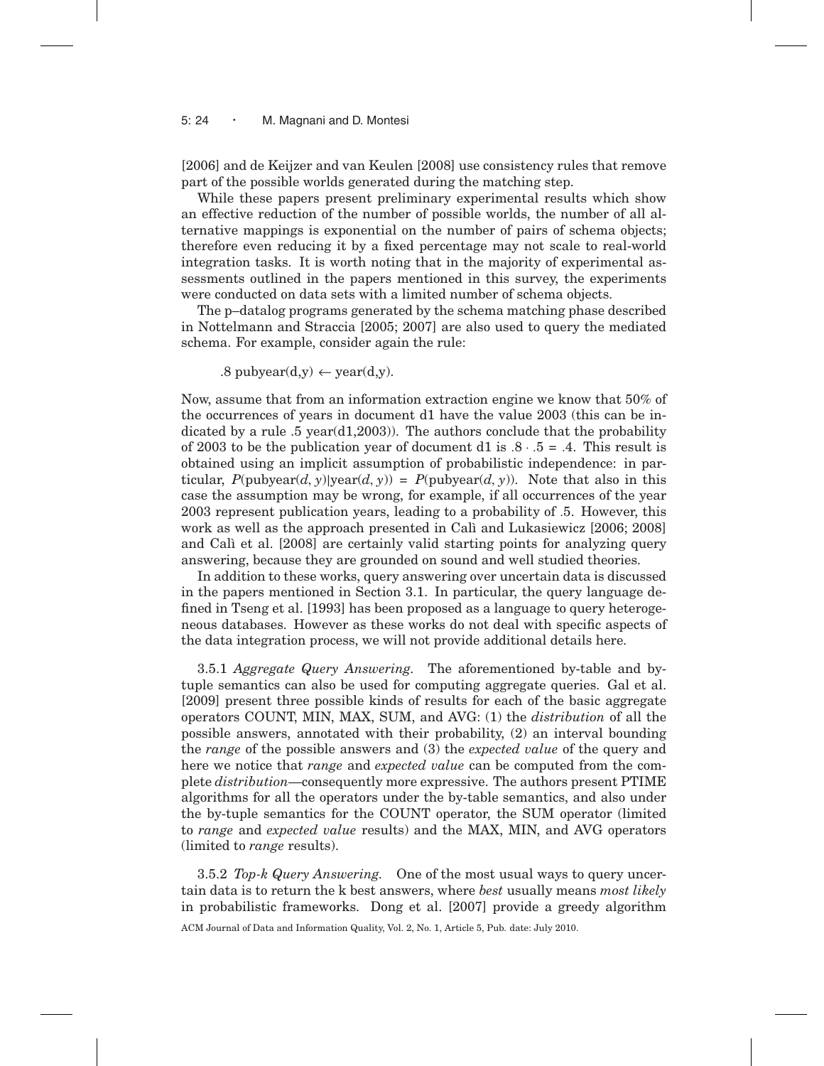#### 5: 24 • M. Magnani and D. Montesi

[2006] and de Keijzer and van Keulen [2008] use consistency rules that remove part of the possible worlds generated during the matching step.

While these papers present preliminary experimental results which show an effective reduction of the number of possible worlds, the number of all alternative mappings is exponential on the number of pairs of schema objects; therefore even reducing it by a fixed percentage may not scale to real-world integration tasks. It is worth noting that in the majority of experimental assessments outlined in the papers mentioned in this survey, the experiments were conducted on data sets with a limited number of schema objects.

The p–datalog programs generated by the schema matching phase described in Nottelmann and Straccia [2005; 2007] are also used to query the mediated schema. For example, consider again the rule:

.8 pubyear(d,y)  $\leftarrow$  year(d,y).

Now, assume that from an information extraction engine we know that 50% of the occurrences of years in document d1 have the value 2003 (this can be indicated by a rule .5 year(d1,2003)). The authors conclude that the probability of 2003 to be the publication year of document d1 is  $.8 \cdot .5 = .4$ . This result is obtained using an implicit assumption of probabilistic independence: in particular,  $P(\text{pubyear}(d, y)|\text{year}(d, y)) = P(\text{pubyear}(d, y))$ . Note that also in this case the assumption may be wrong, for example, if all occurrences of the year 2003 represent publication years, leading to a probability of .5. However, this work as well as the approach presented in Cali and Lukasiewicz [2006; 2008] and Cali et al. [2008] are certainly valid starting points for analyzing query answering, because they are grounded on sound and well studied theories.

In addition to these works, query answering over uncertain data is discussed in the papers mentioned in Section 3.1. In particular, the query language defined in Tseng et al. [1993] has been proposed as a language to query heterogeneous databases. However as these works do not deal with specific aspects of the data integration process, we will not provide additional details here.

3.5.1 *Aggregate Query Answering.* The aforementioned by-table and bytuple semantics can also be used for computing aggregate queries. Gal et al. [2009] present three possible kinds of results for each of the basic aggregate operators COUNT, MIN, MAX, SUM, and AVG: (1) the *distribution* of all the possible answers, annotated with their probability, (2) an interval bounding the *range* of the possible answers and (3) the *expected value* of the query and here we notice that *range* and *expected value* can be computed from the complete *distribution*—consequently more expressive. The authors present PTIME algorithms for all the operators under the by-table semantics, and also under the by-tuple semantics for the COUNT operator, the SUM operator (limited to *range* and *expected value* results) and the MAX, MIN, and AVG operators (limited to *range* results).

3.5.2 *Top-k Query Answering.* One of the most usual ways to query uncertain data is to return the k best answers, where *best* usually means *most likely* in probabilistic frameworks. Dong et al. [2007] provide a greedy algorithm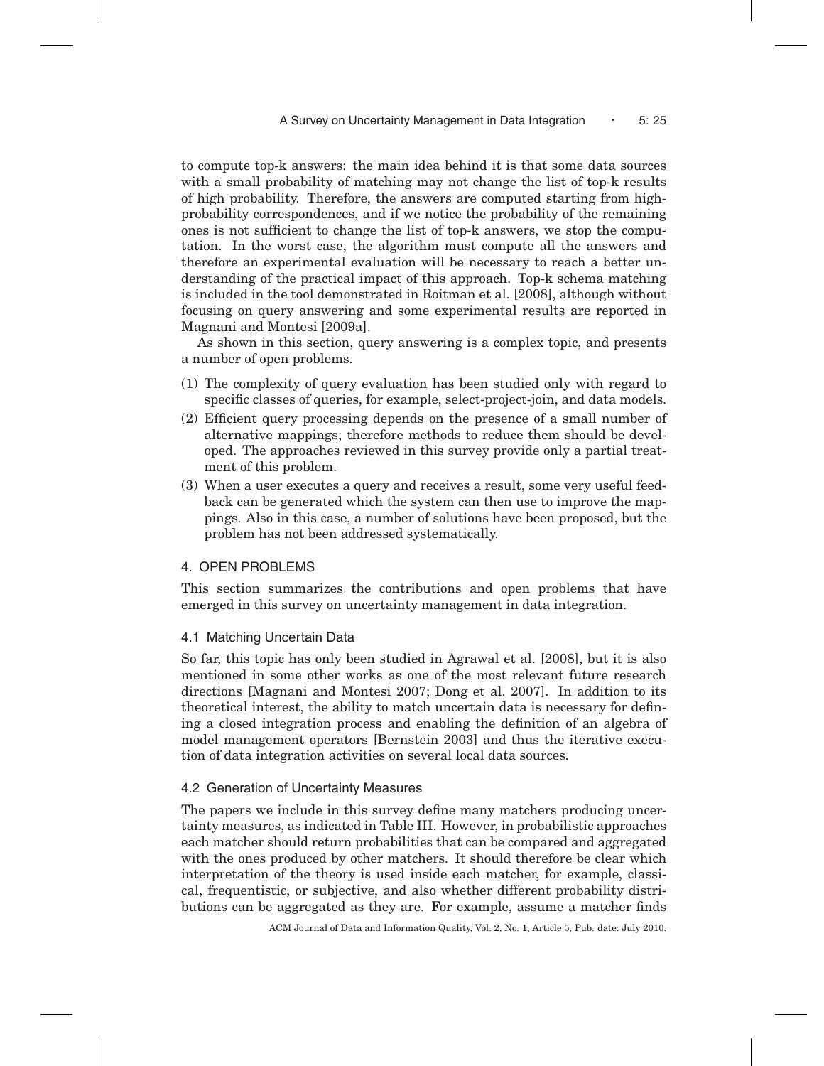to compute top-k answers: the main idea behind it is that some data sources with a small probability of matching may not change the list of top-k results of high probability. Therefore, the answers are computed starting from highprobability correspondences, and if we notice the probability of the remaining ones is not sufficient to change the list of top-k answers, we stop the computation. In the worst case, the algorithm must compute all the answers and therefore an experimental evaluation will be necessary to reach a better understanding of the practical impact of this approach. Top-k schema matching is included in the tool demonstrated in Roitman et al. [2008], although without focusing on query answering and some experimental results are reported in Magnani and Montesi [2009a].

As shown in this section, query answering is a complex topic, and presents a number of open problems.

- (1) The complexity of query evaluation has been studied only with regard to specific classes of queries, for example, select-project-join, and data models.
- (2) Efficient query processing depends on the presence of a small number of alternative mappings; therefore methods to reduce them should be developed. The approaches reviewed in this survey provide only a partial treatment of this problem.
- (3) When a user executes a query and receives a result, some very useful feedback can be generated which the system can then use to improve the mappings. Also in this case, a number of solutions have been proposed, but the problem has not been addressed systematically.

## 4. OPEN PROBLEMS

This section summarizes the contributions and open problems that have emerged in this survey on uncertainty management in data integration.

## 4.1 Matching Uncertain Data

So far, this topic has only been studied in Agrawal et al. [2008], but it is also mentioned in some other works as one of the most relevant future research directions [Magnani and Montesi 2007; Dong et al. 2007]. In addition to its theoretical interest, the ability to match uncertain data is necessary for defining a closed integration process and enabling the definition of an algebra of model management operators [Bernstein 2003] and thus the iterative execution of data integration activities on several local data sources.

## 4.2 Generation of Uncertainty Measures

The papers we include in this survey define many matchers producing uncertainty measures, as indicated in Table III. However, in probabilistic approaches each matcher should return probabilities that can be compared and aggregated with the ones produced by other matchers. It should therefore be clear which interpretation of the theory is used inside each matcher, for example, classical, frequentistic, or subjective, and also whether different probability distributions can be aggregated as they are. For example, assume a matcher finds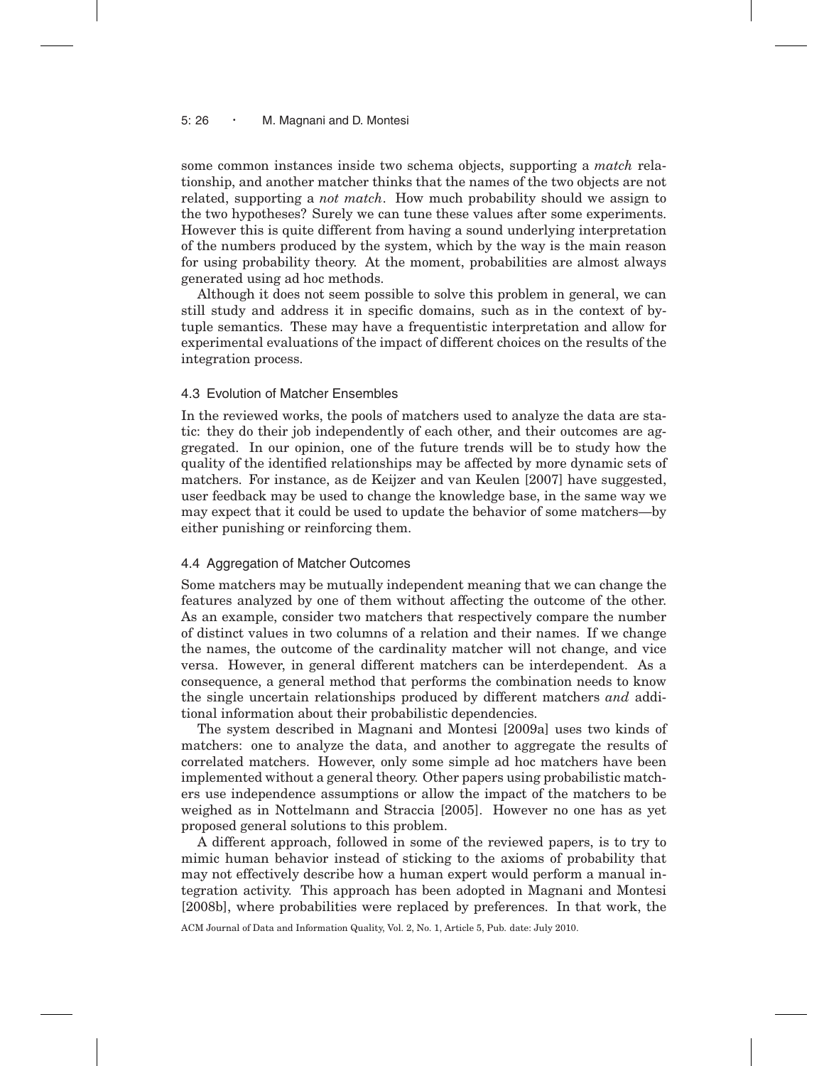# 5: 26 · M. Magnani and D. Montesi

some common instances inside two schema objects, supporting a *match* relationship, and another matcher thinks that the names of the two objects are not related, supporting a *not match*. How much probability should we assign to the two hypotheses? Surely we can tune these values after some experiments. However this is quite different from having a sound underlying interpretation of the numbers produced by the system, which by the way is the main reason for using probability theory. At the moment, probabilities are almost always generated using ad hoc methods.

Although it does not seem possible to solve this problem in general, we can still study and address it in specific domains, such as in the context of bytuple semantics. These may have a frequentistic interpretation and allow for experimental evaluations of the impact of different choices on the results of the integration process.

## 4.3 Evolution of Matcher Ensembles

In the reviewed works, the pools of matchers used to analyze the data are static: they do their job independently of each other, and their outcomes are aggregated. In our opinion, one of the future trends will be to study how the quality of the identified relationships may be affected by more dynamic sets of matchers. For instance, as de Keijzer and van Keulen [2007] have suggested, user feedback may be used to change the knowledge base, in the same way we may expect that it could be used to update the behavior of some matchers—by either punishing or reinforcing them.

# 4.4 Aggregation of Matcher Outcomes

Some matchers may be mutually independent meaning that we can change the features analyzed by one of them without affecting the outcome of the other. As an example, consider two matchers that respectively compare the number of distinct values in two columns of a relation and their names. If we change the names, the outcome of the cardinality matcher will not change, and vice versa. However, in general different matchers can be interdependent. As a consequence, a general method that performs the combination needs to know the single uncertain relationships produced by different matchers *and* additional information about their probabilistic dependencies.

The system described in Magnani and Montesi [2009a] uses two kinds of matchers: one to analyze the data, and another to aggregate the results of correlated matchers. However, only some simple ad hoc matchers have been implemented without a general theory. Other papers using probabilistic matchers use independence assumptions or allow the impact of the matchers to be weighed as in Nottelmann and Straccia [2005]. However no one has as yet proposed general solutions to this problem.

A different approach, followed in some of the reviewed papers, is to try to mimic human behavior instead of sticking to the axioms of probability that may not effectively describe how a human expert would perform a manual integration activity. This approach has been adopted in Magnani and Montesi [2008b], where probabilities were replaced by preferences. In that work, the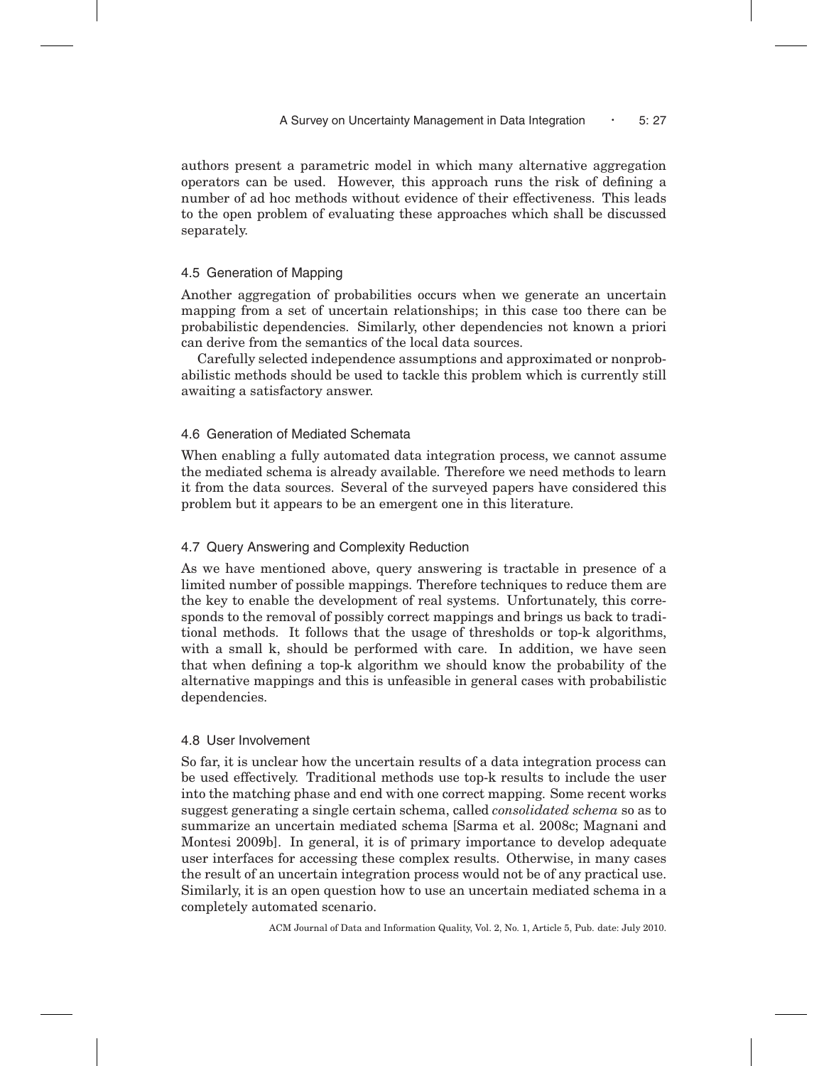authors present a parametric model in which many alternative aggregation operators can be used. However, this approach runs the risk of defining a number of ad hoc methods without evidence of their effectiveness. This leads to the open problem of evaluating these approaches which shall be discussed separately.

# 4.5 Generation of Mapping

Another aggregation of probabilities occurs when we generate an uncertain mapping from a set of uncertain relationships; in this case too there can be probabilistic dependencies. Similarly, other dependencies not known a priori can derive from the semantics of the local data sources.

Carefully selected independence assumptions and approximated or nonprobabilistic methods should be used to tackle this problem which is currently still awaiting a satisfactory answer.

## 4.6 Generation of Mediated Schemata

When enabling a fully automated data integration process, we cannot assume the mediated schema is already available. Therefore we need methods to learn it from the data sources. Several of the surveyed papers have considered this problem but it appears to be an emergent one in this literature.

## 4.7 Query Answering and Complexity Reduction

As we have mentioned above, query answering is tractable in presence of a limited number of possible mappings. Therefore techniques to reduce them are the key to enable the development of real systems. Unfortunately, this corresponds to the removal of possibly correct mappings and brings us back to traditional methods. It follows that the usage of thresholds or top-k algorithms, with a small k, should be performed with care. In addition, we have seen that when defining a top-k algorithm we should know the probability of the alternative mappings and this is unfeasible in general cases with probabilistic dependencies.

# 4.8 User Involvement

So far, it is unclear how the uncertain results of a data integration process can be used effectively. Traditional methods use top-k results to include the user into the matching phase and end with one correct mapping. Some recent works suggest generating a single certain schema, called *consolidated schema* so as to summarize an uncertain mediated schema [Sarma et al. 2008c; Magnani and Montesi 2009b]. In general, it is of primary importance to develop adequate user interfaces for accessing these complex results. Otherwise, in many cases the result of an uncertain integration process would not be of any practical use. Similarly, it is an open question how to use an uncertain mediated schema in a completely automated scenario.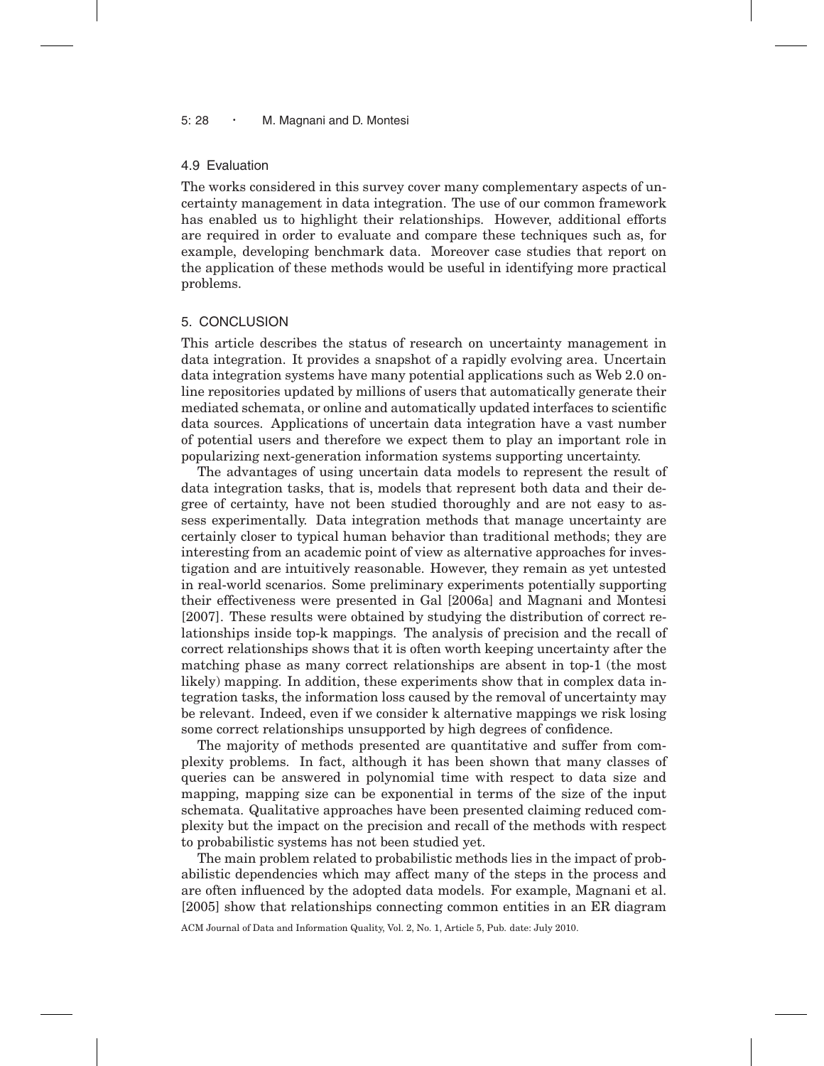# 5: 28 • M. Magnani and D. Montesi

#### 4.9 Evaluation

The works considered in this survey cover many complementary aspects of uncertainty management in data integration. The use of our common framework has enabled us to highlight their relationships. However, additional efforts are required in order to evaluate and compare these techniques such as, for example, developing benchmark data. Moreover case studies that report on the application of these methods would be useful in identifying more practical problems.

## 5. CONCLUSION

This article describes the status of research on uncertainty management in data integration. It provides a snapshot of a rapidly evolving area. Uncertain data integration systems have many potential applications such as Web 2.0 online repositories updated by millions of users that automatically generate their mediated schemata, or online and automatically updated interfaces to scientific data sources. Applications of uncertain data integration have a vast number of potential users and therefore we expect them to play an important role in popularizing next-generation information systems supporting uncertainty.

The advantages of using uncertain data models to represent the result of data integration tasks, that is, models that represent both data and their degree of certainty, have not been studied thoroughly and are not easy to assess experimentally. Data integration methods that manage uncertainty are certainly closer to typical human behavior than traditional methods; they are interesting from an academic point of view as alternative approaches for investigation and are intuitively reasonable. However, they remain as yet untested in real-world scenarios. Some preliminary experiments potentially supporting their effectiveness were presented in Gal [2006a] and Magnani and Montesi [2007]. These results were obtained by studying the distribution of correct relationships inside top-k mappings. The analysis of precision and the recall of correct relationships shows that it is often worth keeping uncertainty after the matching phase as many correct relationships are absent in top-1 (the most likely) mapping. In addition, these experiments show that in complex data integration tasks, the information loss caused by the removal of uncertainty may be relevant. Indeed, even if we consider k alternative mappings we risk losing some correct relationships unsupported by high degrees of confidence.

The majority of methods presented are quantitative and suffer from complexity problems. In fact, although it has been shown that many classes of queries can be answered in polynomial time with respect to data size and mapping, mapping size can be exponential in terms of the size of the input schemata. Qualitative approaches have been presented claiming reduced complexity but the impact on the precision and recall of the methods with respect to probabilistic systems has not been studied yet.

The main problem related to probabilistic methods lies in the impact of probabilistic dependencies which may affect many of the steps in the process and are often influenced by the adopted data models. For example, Magnani et al. [2005] show that relationships connecting common entities in an ER diagram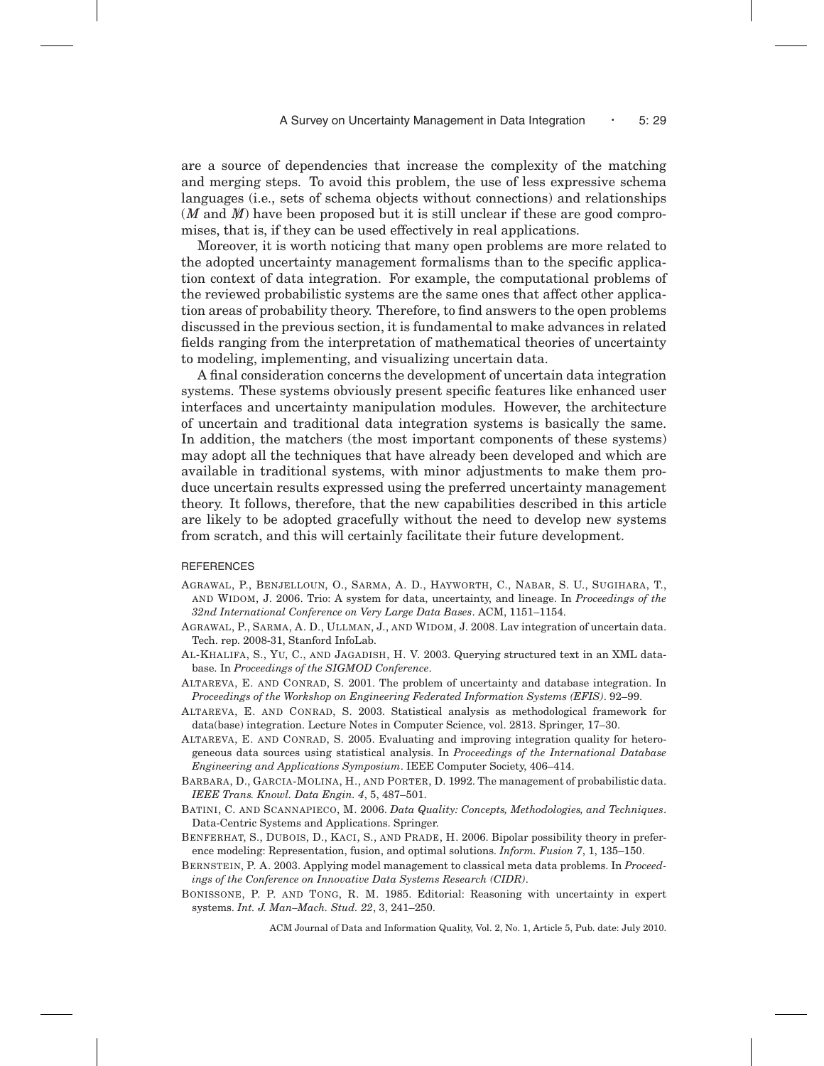are a source of dependencies that increase the complexity of the matching and merging steps. To avoid this problem, the use of less expressive schema languages (i.e., sets of schema objects without connections) and relationships (*M* and *M*/ ) have been proposed but it is still unclear if these are good compromises, that is, if they can be used effectively in real applications.

Moreover, it is worth noticing that many open problems are more related to the adopted uncertainty management formalisms than to the specific application context of data integration. For example, the computational problems of the reviewed probabilistic systems are the same ones that affect other application areas of probability theory. Therefore, to find answers to the open problems discussed in the previous section, it is fundamental to make advances in related fields ranging from the interpretation of mathematical theories of uncertainty to modeling, implementing, and visualizing uncertain data.

A final consideration concerns the development of uncertain data integration systems. These systems obviously present specific features like enhanced user interfaces and uncertainty manipulation modules. However, the architecture of uncertain and traditional data integration systems is basically the same. In addition, the matchers (the most important components of these systems) may adopt all the techniques that have already been developed and which are available in traditional systems, with minor adjustments to make them produce uncertain results expressed using the preferred uncertainty management theory. It follows, therefore, that the new capabilities described in this article are likely to be adopted gracefully without the need to develop new systems from scratch, and this will certainly facilitate their future development.

#### **REFERENCES**

- AGRAWAL, P., BENJELLOUN, O., SARMA, A. D., HAYWORTH, C., NABAR, S. U., SUGIHARA, T., AND WIDOM, J. 2006. Trio: A system for data, uncertainty, and lineage. In *Proceedings of the 32nd International Conference on Very Large Data Bases*. ACM, 1151–1154.
- AGRAWAL, P., SARMA, A. D., ULLMAN, J., AND WIDOM, J. 2008. Lav integration of uncertain data. Tech. rep. 2008-31, Stanford InfoLab.
- AL-KHALIFA, S., YU, C., AND JAGADISH, H. V. 2003. Querying structured text in an XML database. In *Proceedings of the SIGMOD Conference*.
- ALTAREVA, E. AND CONRAD, S. 2001. The problem of uncertainty and database integration. In *Proceedings of the Workshop on Engineering Federated Information Systems (EFIS)*. 92–99.
- ALTAREVA, E. AND CONRAD, S. 2003. Statistical analysis as methodological framework for data(base) integration. Lecture Notes in Computer Science, vol. 2813. Springer, 17–30.
- ALTAREVA, E. AND CONRAD, S. 2005. Evaluating and improving integration quality for heterogeneous data sources using statistical analysis. In *Proceedings of the International Database Engineering and Applications Symposium*. IEEE Computer Society, 406–414.
- BARBARA, D., GARCIA-MOLINA, H., AND PORTER, D. 1992. The management of probabilistic data. *IEEE Trans. Knowl. Data Engin. 4*, 5, 487–501.
- BATINI, C. AND SCANNAPIECO, M. 2006. *Data Quality: Concepts, Methodologies, and Techniques*. Data-Centric Systems and Applications. Springer.
- BENFERHAT, S., DUBOIS, D., KACI, S., AND PRADE, H. 2006. Bipolar possibility theory in preference modeling: Representation, fusion, and optimal solutions. *Inform. Fusion 7*, 1, 135–150.
- BERNSTEIN, P. A. 2003. Applying model management to classical meta data problems. In *Proceedings of the Conference on Innovative Data Systems Research (CIDR)*.
- BONISSONE, P. P. AND TONG, R. M. 1985. Editorial: Reasoning with uncertainty in expert systems. *Int. J. Man–Mach. Stud. 22*, 3, 241–250.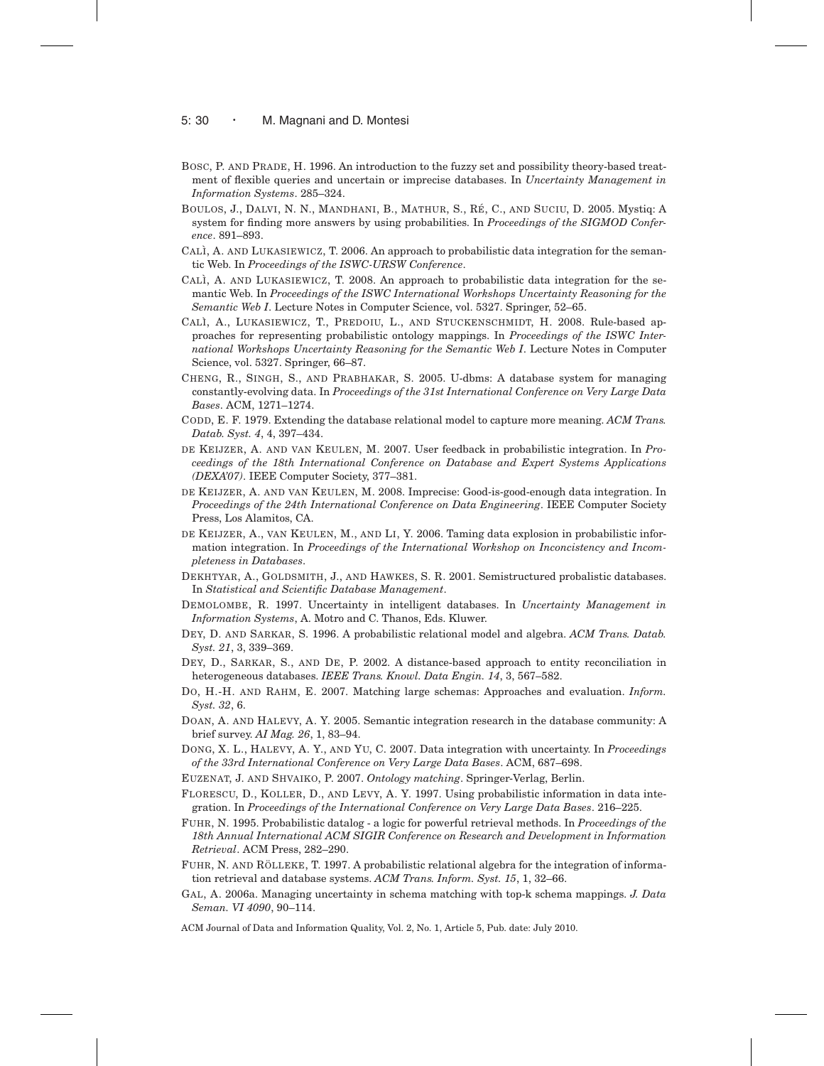#### 5: 30 · M. Magnani and D. Montesi

- BOSC, P. AND PRADE, H. 1996. An introduction to the fuzzy set and possibility theory-based treatment of flexible queries and uncertain or imprecise databases. In *Uncertainty Management in Information Systems*. 285–324.
- BOULOS, J., DALVI, N. N., MANDHANI, B., MATHUR, S., RÉ, C., AND SUCIU, D. 2005. Mystiq: A system for finding more answers by using probabilities. In *Proceedings of the SIGMOD Conference*. 891–893.
- CALÌ, A. AND LUKASIEWICZ, T. 2006. An approach to probabilistic data integration for the semantic Web. In *Proceedings of the ISWC-URSW Conference*.
- CALÌ, A. AND LUKASIEWICZ, T. 2008. An approach to probabilistic data integration for the semantic Web. In *Proceedings of the ISWC International Workshops Uncertainty Reasoning for the Semantic Web I*. Lecture Notes in Computer Science, vol. 5327. Springer, 52–65.
- CALÌ, A., LUKASIEWICZ, T., PREDOIU, L., AND STUCKENSCHMIDT, H. 2008. Rule-based approaches for representing probabilistic ontology mappings. In *Proceedings of the ISWC International Workshops Uncertainty Reasoning for the Semantic Web I*. Lecture Notes in Computer Science, vol. 5327. Springer, 66–87.
- CHENG, R., SINGH, S., AND PRABHAKAR, S. 2005. U-dbms: A database system for managing constantly-evolving data. In *Proceedings of the 31st International Conference on Very Large Data Bases*. ACM, 1271–1274.
- CODD, E. F. 1979. Extending the database relational model to capture more meaning. *ACM Trans. Datab. Syst. 4*, 4, 397–434.
- DE KEIJZER, A. AND VAN KEULEN, M. 2007. User feedback in probabilistic integration. In *Proceedings of the 18th International Conference on Database and Expert Systems Applications (DEXA'07)*. IEEE Computer Society, 377–381.
- DE KEIJZER, A. AND VAN KEULEN, M. 2008. Imprecise: Good-is-good-enough data integration. In *Proceedings of the 24th International Conference on Data Engineering*. IEEE Computer Society Press, Los Alamitos, CA.
- DE KEIJZER, A., VAN KEULEN, M., AND LI, Y. 2006. Taming data explosion in probabilistic information integration. In *Proceedings of the International Workshop on Inconcistency and Incompleteness in Databases*.
- DEKHTYAR, A., GOLDSMITH, J., AND HAWKES, S. R. 2001. Semistructured probalistic databases. In *Statistical and Scientific Database Management*.
- DEMOLOMBE, R. 1997. Uncertainty in intelligent databases. In *Uncertainty Management in Information Systems*, A. Motro and C. Thanos, Eds. Kluwer.
- DEY, D. AND SARKAR, S. 1996. A probabilistic relational model and algebra. *ACM Trans. Datab. Syst. 21*, 3, 339–369.
- DEY, D., SARKAR, S., AND DE, P. 2002. A distance-based approach to entity reconciliation in heterogeneous databases. *IEEE Trans. Knowl. Data Engin. 14*, 3, 567–582.
- DO, H.-H. AND RAHM, E. 2007. Matching large schemas: Approaches and evaluation. *Inform. Syst. 32*, 6.
- DOAN, A. AND HALEVY, A. Y. 2005. Semantic integration research in the database community: A brief survey. *AI Mag. 26*, 1, 83–94.
- DONG, X. L., HALEVY, A. Y., AND YU, C. 2007. Data integration with uncertainty. In *Proceedings of the 33rd International Conference on Very Large Data Bases*. ACM, 687–698.
- EUZENAT, J. AND SHVAIKO, P. 2007. *Ontology matching*. Springer-Verlag, Berlin.
- FLORESCU, D., KOLLER, D., AND LEVY, A. Y. 1997. Using probabilistic information in data integration. In *Proceedings of the International Conference on Very Large Data Bases*. 216–225.
- FUHR, N. 1995. Probabilistic datalog a logic for powerful retrieval methods. In *Proceedings of the 18th Annual International ACM SIGIR Conference on Research and Development in Information Retrieval*. ACM Press, 282–290.
- FUHR, N. AND RÖLLEKE, T. 1997. A probabilistic relational algebra for the integration of information retrieval and database systems. *ACM Trans. Inform. Syst. 15*, 1, 32–66.
- GAL, A. 2006a. Managing uncertainty in schema matching with top-k schema mappings. *J. Data Seman. VI 4090*, 90–114.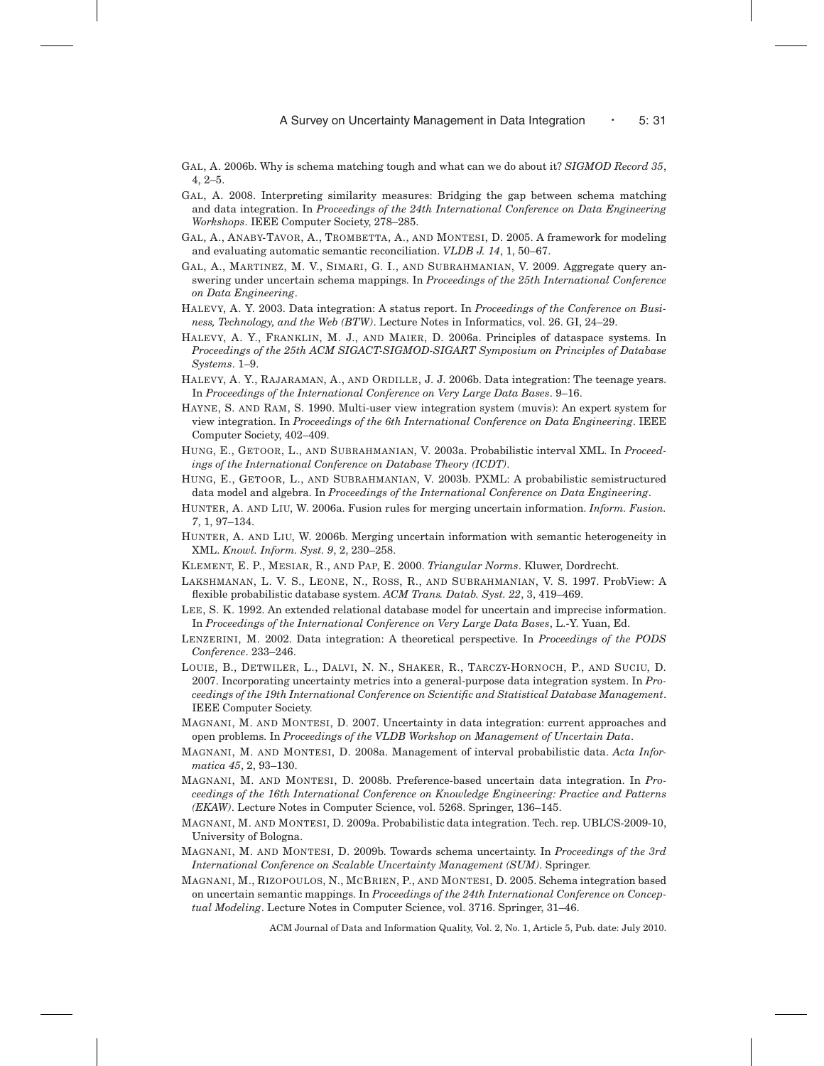- GAL, A. 2006b. Why is schema matching tough and what can we do about it? *SIGMOD Record 35*, 4, 2–5.
- GAL, A. 2008. Interpreting similarity measures: Bridging the gap between schema matching and data integration. In *Proceedings of the 24th International Conference on Data Engineering Workshops*. IEEE Computer Society, 278–285.
- GAL, A., ANABY-TAVOR, A., TROMBETTA, A., AND MONTESI, D. 2005. A framework for modeling and evaluating automatic semantic reconciliation. *VLDB J. 14*, 1, 50–67.
- GAL, A., MARTINEZ, M. V., SIMARI, G. I., AND SUBRAHMANIAN, V. 2009. Aggregate query answering under uncertain schema mappings. In *Proceedings of the 25th International Conference on Data Engineering*.
- HALEVY, A. Y. 2003. Data integration: A status report. In *Proceedings of the Conference on Business, Technology, and the Web (BTW)*. Lecture Notes in Informatics, vol. 26. GI, 24–29.
- HALEVY, A. Y., FRANKLIN, M. J., AND MAIER, D. 2006a. Principles of dataspace systems. In *Proceedings of the 25th ACM SIGACT-SIGMOD-SIGART Symposium on Principles of Database Systems*. 1–9.
- HALEVY, A. Y., RAJARAMAN, A., AND ORDILLE, J. J. 2006b. Data integration: The teenage years. In *Proceedings of the International Conference on Very Large Data Bases*. 9–16.
- HAYNE, S. AND RAM, S. 1990. Multi-user view integration system (muvis): An expert system for view integration. In *Proceedings of the 6th International Conference on Data Engineering*. IEEE Computer Society, 402–409.
- HUNG, E., GETOOR, L., AND SUBRAHMANIAN, V. 2003a. Probabilistic interval XML. In *Proceedings of the International Conference on Database Theory (ICDT)*.
- HUNG, E., GETOOR, L., AND SUBRAHMANIAN, V. 2003b. PXML: A probabilistic semistructured data model and algebra. In *Proceedings of the International Conference on Data Engineering*.
- HUNTER, A. AND LIU, W. 2006a. Fusion rules for merging uncertain information. *Inform. Fusion. 7*, 1, 97–134.
- HUNTER, A. AND LIU, W. 2006b. Merging uncertain information with semantic heterogeneity in XML. *Knowl. Inform. Syst. 9*, 2, 230–258.
- KLEMENT, E. P., MESIAR, R., AND PAP, E. 2000. *Triangular Norms*. Kluwer, Dordrecht.
- LAKSHMANAN, L. V. S., LEONE, N., ROSS, R., AND SUBRAHMANIAN, V. S. 1997. ProbView: A flexible probabilistic database system. *ACM Trans. Datab. Syst. 22*, 3, 419–469.
- LEE, S. K. 1992. An extended relational database model for uncertain and imprecise information. In *Proceedings of the International Conference on Very Large Data Bases*, L.-Y. Yuan, Ed.
- LENZERINI, M. 2002. Data integration: A theoretical perspective. In *Proceedings of the PODS Conference*. 233–246.
- LOUIE, B., DETWILER, L., DALVI, N. N., SHAKER, R., TARCZY-HORNOCH, P., AND SUCIU, D. 2007. Incorporating uncertainty metrics into a general-purpose data integration system. In *Proceedings of the 19th International Conference on Scientific and Statistical Database Management*. IEEE Computer Society.
- MAGNANI, M. AND MONTESI, D. 2007. Uncertainty in data integration: current approaches and open problems. In *Proceedings of the VLDB Workshop on Management of Uncertain Data*.
- MAGNANI, M. AND MONTESI, D. 2008a. Management of interval probabilistic data. *Acta Informatica 45*, 2, 93–130.
- MAGNANI, M. AND MONTESI, D. 2008b. Preference-based uncertain data integration. In *Proceedings of the 16th International Conference on Knowledge Engineering: Practice and Patterns (EKAW)*. Lecture Notes in Computer Science, vol. 5268. Springer, 136–145.
- MAGNANI, M. AND MONTESI, D. 2009a. Probabilistic data integration. Tech. rep. UBLCS-2009-10, University of Bologna.
- MAGNANI, M. AND MONTESI, D. 2009b. Towards schema uncertainty. In *Proceedings of the 3rd International Conference on Scalable Uncertainty Management (SUM)*. Springer.
- MAGNANI, M., RIZOPOULOS, N., MCBRIEN, P., AND MONTESI, D. 2005. Schema integration based on uncertain semantic mappings. In *Proceedings of the 24th International Conference on Conceptual Modeling*. Lecture Notes in Computer Science, vol. 3716. Springer, 31–46.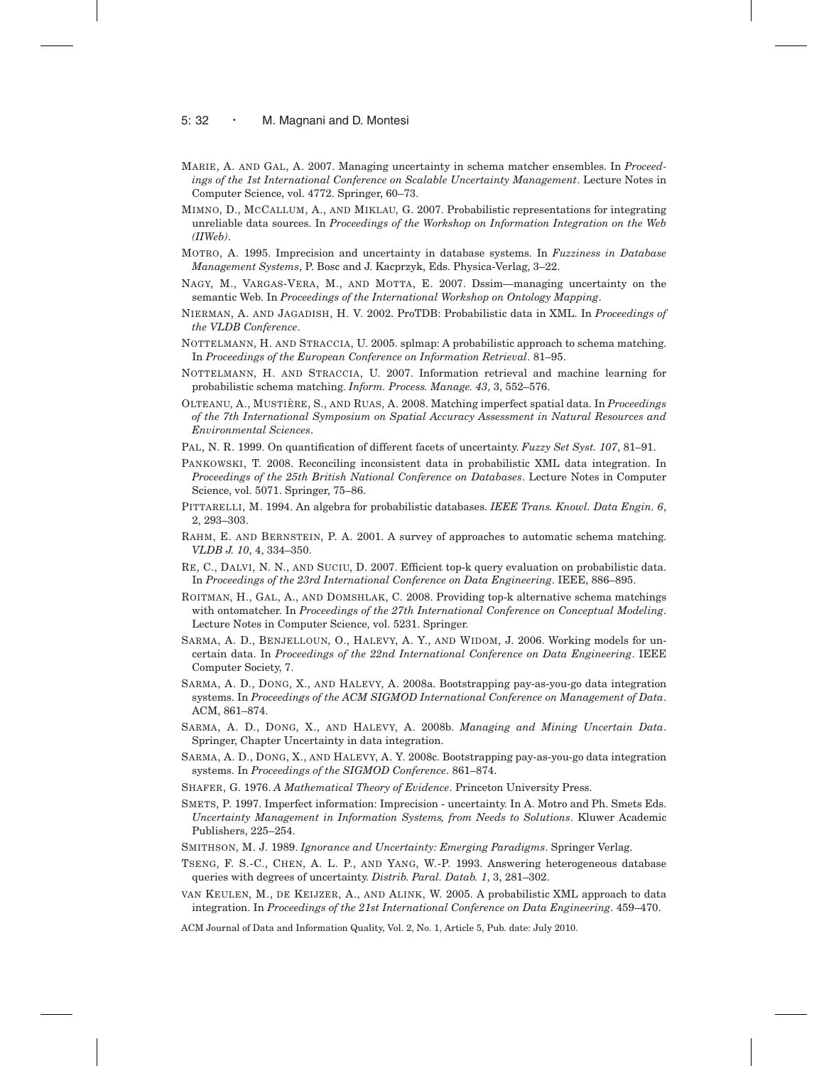#### 5: 32 · M. Magnani and D. Montesi

- MARIE, A. AND GAL, A. 2007. Managing uncertainty in schema matcher ensembles. In *Proceedings of the 1st International Conference on Scalable Uncertainty Management*. Lecture Notes in Computer Science, vol. 4772. Springer, 60–73.
- MIMNO, D., MCCALLUM, A., AND MIKLAU, G. 2007. Probabilistic representations for integrating unreliable data sources. In *Proceedings of the Workshop on Information Integration on the Web (IIWeb)*.
- MOTRO, A. 1995. Imprecision and uncertainty in database systems. In *Fuzziness in Database Management Systems*, P. Bosc and J. Kacprzyk, Eds. Physica-Verlag, 3–22.
- NAGY, M., VARGAS-VERA, M., AND MOTTA, E. 2007. Dssim—managing uncertainty on the semantic Web. In *Proceedings of the International Workshop on Ontology Mapping*.
- NIERMAN, A. AND JAGADISH, H. V. 2002. ProTDB: Probabilistic data in XML. In *Proceedings of the VLDB Conference*.
- NOTTELMANN, H. AND STRACCIA, U. 2005. splmap: A probabilistic approach to schema matching. In *Proceedings of the European Conference on Information Retrieval*. 81–95.
- NOTTELMANN, H. AND STRACCIA, U. 2007. Information retrieval and machine learning for probabilistic schema matching. *Inform. Process. Manage. 43*, 3, 552–576.
- OLTEANU, A., MUSTIERE ` , S., AND RUAS, A. 2008. Matching imperfect spatial data. In *Proceedings of the 7th International Symposium on Spatial Accuracy Assessment in Natural Resources and Environmental Sciences*.
- PAL, N. R. 1999. On quantification of different facets of uncertainty. *Fuzzy Set Syst. 107*, 81–91.
- PANKOWSKI, T. 2008. Reconciling inconsistent data in probabilistic XML data integration. In *Proceedings of the 25th British National Conference on Databases*. Lecture Notes in Computer Science, vol. 5071. Springer, 75–86.
- PITTARELLI, M. 1994. An algebra for probabilistic databases. *IEEE Trans. Knowl. Data Engin. 6*, 2, 293–303.
- RAHM, E. AND BERNSTEIN, P. A. 2001. A survey of approaches to automatic schema matching. *VLDB J. 10*, 4, 334–350.
- RE, C., DALVI, N. N., AND SUCIU, D. 2007. Efficient top-k query evaluation on probabilistic data. In *Proceedings of the 23rd International Conference on Data Engineering*. IEEE, 886–895.
- ROITMAN, H., GAL, A., AND DOMSHLAK, C. 2008. Providing top-k alternative schema matchings with ontomatcher. In *Proceedings of the 27th International Conference on Conceptual Modeling*. Lecture Notes in Computer Science, vol. 5231. Springer.
- SARMA, A. D., BENJELLOUN, O., HALEVY, A. Y., AND WIDOM, J. 2006. Working models for uncertain data. In *Proceedings of the 22nd International Conference on Data Engineering*. IEEE Computer Society, 7.
- SARMA, A. D., DONG, X., AND HALEVY, A. 2008a. Bootstrapping pay-as-you-go data integration systems. In *Proceedings of the ACM SIGMOD International Conference on Management of Data*. ACM, 861–874.
- SARMA, A. D., DONG, X., AND HALEVY, A. 2008b. *Managing and Mining Uncertain Data*. Springer, Chapter Uncertainty in data integration.
- SARMA, A. D., DONG, X., AND HALEVY, A. Y. 2008c. Bootstrapping pay-as-you-go data integration systems. In *Proceedings of the SIGMOD Conference*. 861–874.
- SHAFER, G. 1976. *A Mathematical Theory of Evidence*. Princeton University Press.
- SMETS, P. 1997. Imperfect information: Imprecision uncertainty. In A. Motro and Ph. Smets Eds. *Uncertainty Management in Information Systems, from Needs to Solutions*. Kluwer Academic Publishers, 225–254.
- SMITHSON, M. J. 1989. *Ignorance and Uncertainty: Emerging Paradigms*. Springer Verlag.
- TSENG, F. S.-C., CHEN, A. L. P., AND YANG, W.-P. 1993. Answering heterogeneous database queries with degrees of uncertainty. *Distrib. Paral. Datab. 1*, 3, 281–302.
- VAN KEULEN, M., DE KEIJZER, A., AND ALINK, W. 2005. A probabilistic XML approach to data integration. In *Proceedings of the 21st International Conference on Data Engineering*. 459–470.